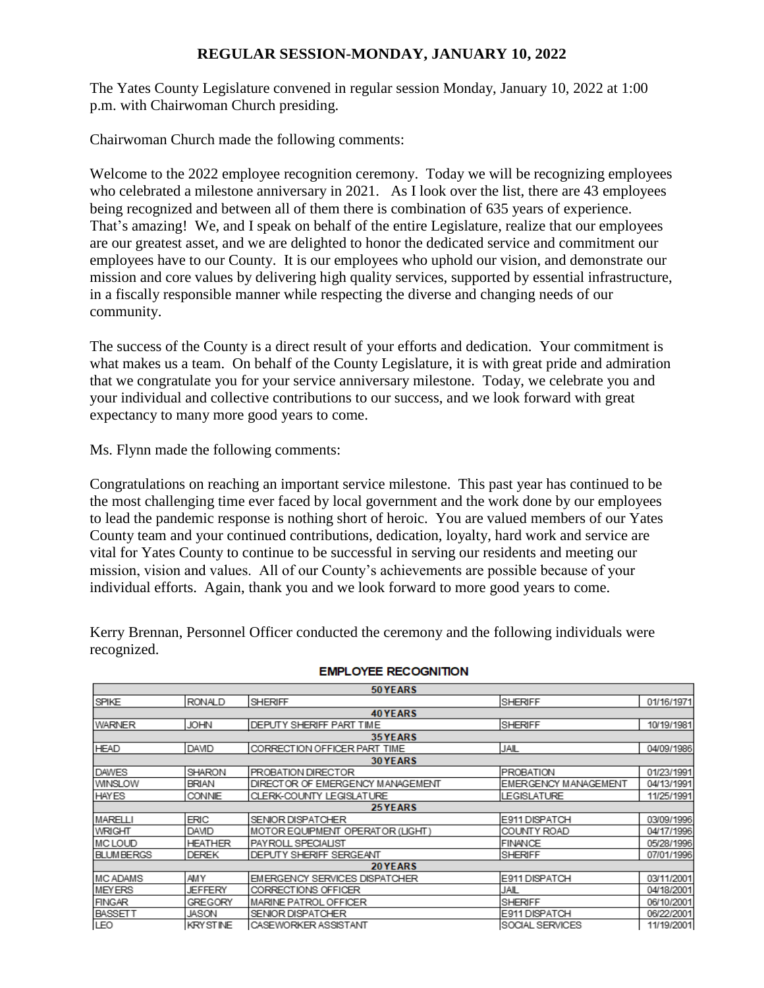# **REGULAR SESSION-MONDAY, JANUARY 10, 2022**

The Yates County Legislature convened in regular session Monday, January 10, 2022 at 1:00 p.m. with Chairwoman Church presiding.

Chairwoman Church made the following comments:

Welcome to the 2022 employee recognition ceremony. Today we will be recognizing employees who celebrated a milestone anniversary in 2021. As I look over the list, there are 43 employees being recognized and between all of them there is combination of 635 years of experience. That's amazing! We, and I speak on behalf of the entire Legislature, realize that our employees are our greatest asset, and we are delighted to honor the dedicated service and commitment our employees have to our County. It is our employees who uphold our vision, and demonstrate our mission and core values by delivering high quality services, supported by essential infrastructure, in a fiscally responsible manner while respecting the diverse and changing needs of our community.

The success of the County is a direct result of your efforts and dedication. Your commitment is what makes us a team. On behalf of the County Legislature, it is with great pride and admiration that we congratulate you for your service anniversary milestone. Today, we celebrate you and your individual and collective contributions to our success, and we look forward with great expectancy to many more good years to come.

Ms. Flynn made the following comments:

Congratulations on reaching an important service milestone. This past year has continued to be the most challenging time ever faced by local government and the work done by our employees to lead the pandemic response is nothing short of heroic. You are valued members of our Yates County team and your continued contributions, dedication, loyalty, hard work and service are vital for Yates County to continue to be successful in serving our residents and meeting our mission, vision and values. All of our County's achievements are possible because of your individual efforts. Again, thank you and we look forward to more good years to come.

Kerry Brennan, Personnel Officer conducted the ceremony and the following individuals were recognized.

| 50 YEARS         |                 |                                  |                             |            |
|------------------|-----------------|----------------------------------|-----------------------------|------------|
| SPIKE            | <b>RONALD</b>   | <b>SHERIFF</b>                   | <b>SHERIFF</b>              | 01/16/1971 |
|                  |                 | 40 YEARS                         |                             |            |
| <b>WARNER</b>    | <b>JOHN</b>     | DEPUTY SHERIFF PART TIME         | <b>SHERIFF</b>              | 10/19/1981 |
|                  |                 | <b>35 YEARS</b>                  |                             |            |
| <b>HEAD</b>      | DAVID           | CORRECTION OFFICER PART TIME     | JAIL                        | 04/09/1986 |
|                  |                 | <b>30 YEARS</b>                  |                             |            |
| <b>DAWES</b>     | <b>SHARON</b>   | PROBATION DIRECTOR               | <b>IPROBATION</b>           | 01/23/1991 |
| <b>WINSLOW</b>   | <b>BRIAN</b>    | DIRECTOR OF EMERGENCY MANAGEMENT | <b>EMERGENCY MANAGEMENT</b> | 04/13/1991 |
| <b>HAYES</b>     | <b>CONNIE</b>   | CLERK-COUNTY LEGISLATURE         | <b>LEGISLATURE</b>          | 11/25/1991 |
|                  |                 | 25 YEARS                         |                             |            |
| <b>MARELLI</b>   | ERIC            | SENIOR DISPATCHER                | <b>IE911 DISPATCH</b>       | 03/09/1996 |
| <b>WRIGHT</b>    | DAVID           | MOTOR EQUIPMENT OPERATOR (LIGHT) | COUNTY ROAD                 | 04/17/1996 |
| <b>MCLOUD</b>    | <b>HEATHER</b>  | PAYROLL SPECIALIST               | <b>FINANCE</b>              | 05/28/1996 |
| <b>BLUMBERGS</b> | <b>DEREK</b>    | DEPUTY SHERIFF SERGEANT          | <b>SHERIFF</b>              | 07/01/1996 |
| 20 YEARS         |                 |                                  |                             |            |
| <b>IMCADAMS</b>  | <b>AMY</b>      | EMERGENCY SERVICES DISPATCHER    | E911 DISPATCH               | 03/11/2001 |
| <b>MEYERS</b>    | <b>JEFFERY</b>  | CORRECTIONS OFFICER              | JAIL                        | 04/18/2001 |
| <b>FINGAR</b>    | <b>GREGORY</b>  | MARINE PATROL OFFICER            | <b>SHERIFF</b>              | 06/10/2001 |
| <b>BASSETT</b>   | JASON           | SENIOR DISPATCHER                | E911 DISPATCH               | 06/22/2001 |
| LEO              | <b>KRYSTINE</b> | CASEWORKER ASSISTANT             | <b>SOCIAL SERVICES</b>      | 11/19/2001 |

#### **EMPLOYEE RECOGNITION**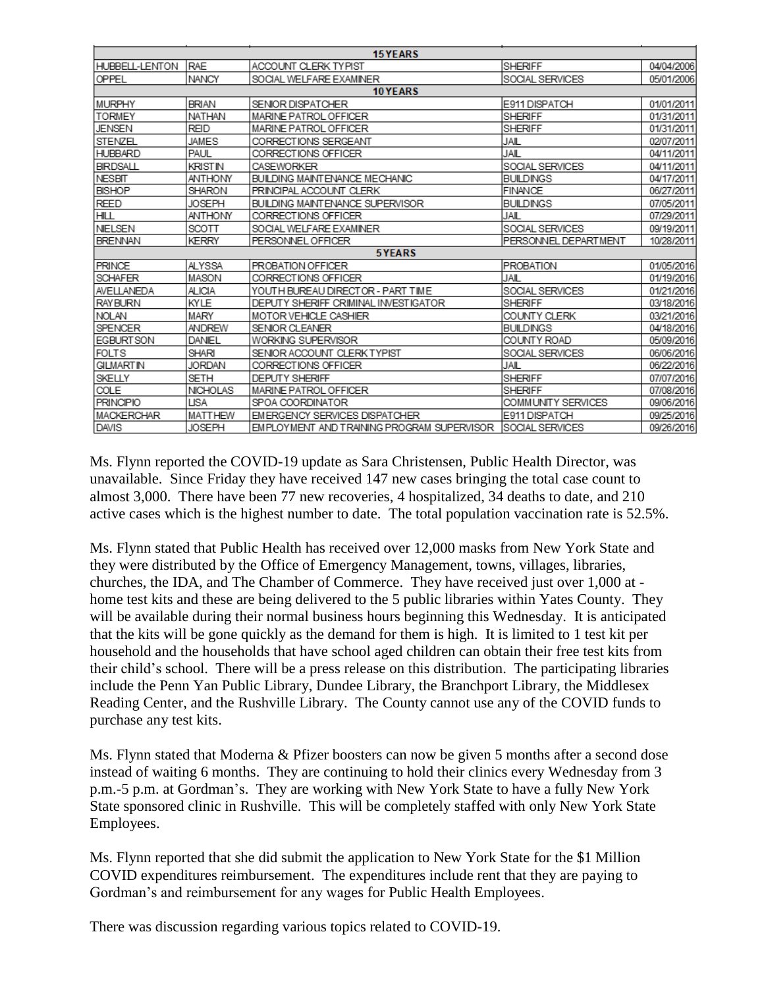| 15 YEARS          |                 |                                            |                              |            |
|-------------------|-----------------|--------------------------------------------|------------------------------|------------|
| HUBBELL-LENTON    | <b>RAE</b>      | ACCOUNT CLERK TYPIST                       | <b>SHERIFF</b>               | 04/04/2006 |
| OPPEL             | <b>NANCY</b>    | SOCIAL WELFARE EXAMINER                    | SOCIAL SERVICES              | 05/01/2006 |
|                   |                 | 10 YEARS                                   |                              |            |
| <b>MURPHY</b>     | <b>BRIAN</b>    | SENIOR DISPATCHER                          | E911 DISPATCH                | 01/01/2011 |
| <b>TORMEY</b>     | NATHAN          | MARINE PATROL OFFICER                      | <b>SHERIFF</b>               | 01/31/2011 |
| JENSEN            | <b>REID</b>     | MARINE PATROL OFFICER                      | <b>SHERIFF</b>               | 01/31/2011 |
| STENZEL           | JAMES           | CORRECTIONS SERGEANT                       | JAIL                         | 02/07/2011 |
| <b>HUBBARD</b>    | PAUL            | CORRECTIONS OFFICER                        | JAIL                         | 04/11/2011 |
| <b>BIRDSALL</b>   | KRISTIN         | CASEWORKER                                 | SOCIAL SERVICES              | 04/11/2011 |
| <b>NESBIT</b>     | ANTHONY         | BUILDING MAINT ENANCE MECHANIC             | <b>BUILDINGS</b>             | 04/17/2011 |
| <b>BISHOP</b>     | <b>SHARON</b>   | PRINCIPAL ACCOUNT CLERK                    | <b>FINANCE</b>               | 06/27/2011 |
| REED              | <b>JOSEPH</b>   | BUILDING MAINT ENANCE SUPERVISOR           | <b>BUILDINGS</b>             | 07/05/2011 |
| <b>HILL</b>       | ANTHONY         | CORRECTIONS OFFICER                        | JAIL                         | 07/29/2011 |
| <b>NIELSEN</b>    | SCOTT           | SOCIAL WELFARE EXAMINER                    | SOCIAL SERVICES              | 09/19/2011 |
| <b>BRENNAN</b>    | <b>KERRY</b>    | PERSONNEL OFFICER                          | <b>IPERSONNEL DEPARTMENT</b> | 10/28/2011 |
|                   |                 | 5YEARS                                     |                              |            |
| PRINCE            | <b>ALYSSA</b>   | PROBATION OFFICER                          | <b>PROBATION</b>             | 01/05/2016 |
| <b>SCHAFER</b>    | MASON           | CORRECTIONS OFFICER                        | JAIL                         | 01/19/2016 |
| AVELLANEDA        | <b>ALICIA</b>   | YOUTH BUREAU DIRECTOR - PART TIME          | SOCIAL SERVICES              | 01/21/2016 |
| <b>RAY BURN</b>   | KYLE            | DEPUTY SHERIFF CRIMINAL INVESTIGATOR       | <b>SHERIFF</b>               | 03/18/2016 |
| <b>NOLAN</b>      | MARY            | <b>MOTOR VEHICLE CASHIER</b>               | <b>COUNTY CLERK</b>          | 03/21/2016 |
| <b>SPENCER</b>    | ANDREW          | SENIOR CLEANER                             | <b>BUILDINGS</b>             | 04/18/2016 |
| <b>EGBURT SON</b> | DANIEL          | WORKING SUPERVISOR                         | COUNTY ROAD                  | 05/09/2016 |
| <b>FOLTS</b>      | <b>SHARI</b>    | SENIOR ACCOUNT CLERK TYPIST                | SOCIAL SERVICES              | 06/06/2016 |
| <b>GILMARTIN</b>  | <b>JORDAN</b>   | CORRECTIONS OFFICER                        | JAIL                         | 06/22/2016 |
| SKELLY            | <b>SETH</b>     | <b>DEPUTY SHERIFF</b>                      | <b>SHERIFF</b>               | 07/07/2016 |
| COLE              | <b>NICHOLAS</b> | MARINE PATROL OFFICER                      | SHERIFF                      | 07/08/2016 |
| <b>PRINCIPIO</b>  | LISA            | SPOA COORDINATOR                           | COMMUNITY SERVICES           | 09/06/2016 |
| <b>MACKERCHAR</b> | <b>MATTHEW</b>  | <b>EMERGENCY SERVICES DISPATCHER</b>       | E911 DISPATCH                | 09/25/2016 |
| <b>DAVIS</b>      | <b>JOSEPH</b>   | EMPLOYMENT AND TRAINING PROGRAM SUPERVISOR | <b>ISOCIAL SERVICES</b>      | 09/26/2016 |

Ms. Flynn reported the COVID-19 update as Sara Christensen, Public Health Director, was unavailable. Since Friday they have received 147 new cases bringing the total case count to almost 3,000. There have been 77 new recoveries, 4 hospitalized, 34 deaths to date, and 210 active cases which is the highest number to date. The total population vaccination rate is 52.5%.

Ms. Flynn stated that Public Health has received over 12,000 masks from New York State and they were distributed by the Office of Emergency Management, towns, villages, libraries, churches, the IDA, and The Chamber of Commerce. They have received just over 1,000 at home test kits and these are being delivered to the 5 public libraries within Yates County. They will be available during their normal business hours beginning this Wednesday. It is anticipated that the kits will be gone quickly as the demand for them is high. It is limited to 1 test kit per household and the households that have school aged children can obtain their free test kits from their child's school. There will be a press release on this distribution. The participating libraries include the Penn Yan Public Library, Dundee Library, the Branchport Library, the Middlesex Reading Center, and the Rushville Library. The County cannot use any of the COVID funds to purchase any test kits.

Ms. Flynn stated that Moderna & Pfizer boosters can now be given 5 months after a second dose instead of waiting 6 months. They are continuing to hold their clinics every Wednesday from 3 p.m.-5 p.m. at Gordman's. They are working with New York State to have a fully New York State sponsored clinic in Rushville. This will be completely staffed with only New York State Employees.

Ms. Flynn reported that she did submit the application to New York State for the \$1 Million COVID expenditures reimbursement. The expenditures include rent that they are paying to Gordman's and reimbursement for any wages for Public Health Employees.

There was discussion regarding various topics related to COVID-19.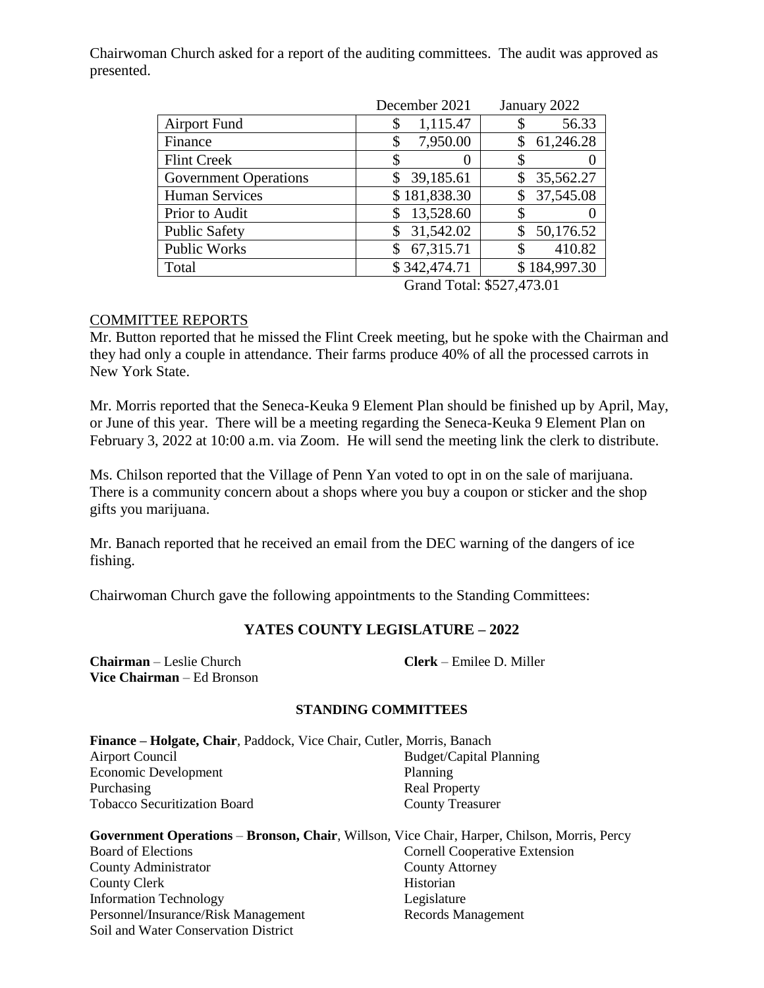Chairwoman Church asked for a report of the auditing committees. The audit was approved as presented.

|                              | December 2021   | January 2022 |  |
|------------------------------|-----------------|--------------|--|
| <b>Airport Fund</b>          | 1,115.47<br>\$  | 56.33        |  |
| Finance                      | 7,950.00<br>\$  | 61,246.28    |  |
| <b>Flint Creek</b>           | S<br>$\theta$   |              |  |
| <b>Government Operations</b> | 39,185.61<br>\$ | 35,562.27    |  |
| <b>Human Services</b>        | \$181,838.30    | 37,545.08    |  |
| Prior to Audit               | 13,528.60       |              |  |
| <b>Public Safety</b>         | 31,542.02<br>\$ | 50,176.52    |  |
| <b>Public Works</b>          | 67,315.71       | 410.82       |  |
| Total                        | \$342,474.71    | \$184,997.30 |  |

Grand Total: \$527,473.01

# COMMITTEE REPORTS

Mr. Button reported that he missed the Flint Creek meeting, but he spoke with the Chairman and they had only a couple in attendance. Their farms produce 40% of all the processed carrots in New York State.

Mr. Morris reported that the Seneca-Keuka 9 Element Plan should be finished up by April, May, or June of this year. There will be a meeting regarding the Seneca-Keuka 9 Element Plan on February 3, 2022 at 10:00 a.m. via Zoom. He will send the meeting link the clerk to distribute.

Ms. Chilson reported that the Village of Penn Yan voted to opt in on the sale of marijuana. There is a community concern about a shops where you buy a coupon or sticker and the shop gifts you marijuana.

Mr. Banach reported that he received an email from the DEC warning of the dangers of ice fishing.

Chairwoman Church gave the following appointments to the Standing Committees:

# **YATES COUNTY LEGISLATURE – 2022**

**Chairman** – Leslie Church **Clerk** – Emilee D. Miller **Vice Chairman** – Ed Bronson

### **STANDING COMMITTEES**

| <b>Finance – Holgate, Chair</b> , Paddock, Vice Chair, Cutler, Morris, Banach |                         |
|-------------------------------------------------------------------------------|-------------------------|
| Airport Council                                                               | Budget/Capital Planning |
| Economic Development                                                          | Planning                |
| Purchasing                                                                    | <b>Real Property</b>    |
| <b>Tobacco Securitization Board</b>                                           | <b>County Treasurer</b> |

| Government Operations – Bronson, Chair, Willson, Vice Chair, Harper, Chilson, Morris, Percy |                                      |
|---------------------------------------------------------------------------------------------|--------------------------------------|
| Board of Elections                                                                          | <b>Cornell Cooperative Extension</b> |
| County Administrator                                                                        | <b>County Attorney</b>               |
| County Clerk                                                                                | Historian                            |
| <b>Information Technology</b>                                                               | Legislature                          |
| Personnel/Insurance/Risk Management                                                         | <b>Records Management</b>            |
| Soil and Water Conservation District                                                        |                                      |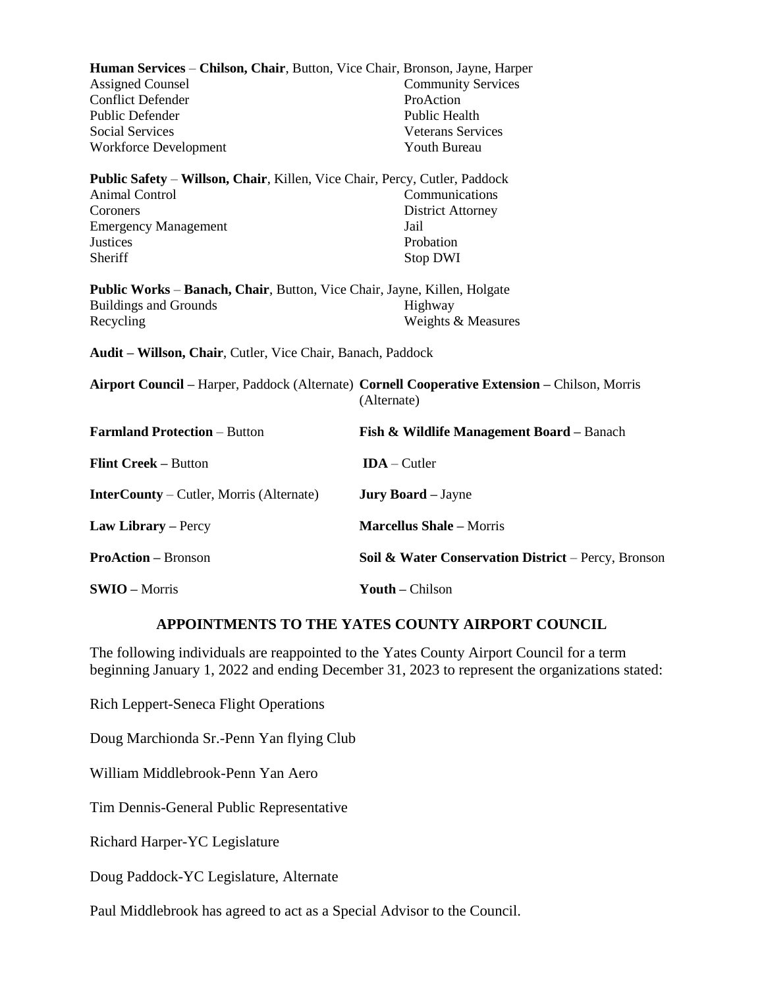| Human Services – Chilson, Chair, Button, Vice Chair, Bronson, Jayne, Harper<br><b>Assigned Counsel</b><br><b>Conflict Defender</b><br><b>Public Defender</b><br><b>Social Services</b><br><b>Workforce Development</b> | <b>Community Services</b><br>ProAction<br><b>Public Health</b><br><b>Veterans Services</b><br><b>Youth Bureau</b> |
|------------------------------------------------------------------------------------------------------------------------------------------------------------------------------------------------------------------------|-------------------------------------------------------------------------------------------------------------------|
| Public Safety - Willson, Chair, Killen, Vice Chair, Percy, Cutler, Paddock<br><b>Animal Control</b><br>Coroners<br><b>Emergency Management</b><br><b>Justices</b><br>Sheriff                                           | Communications<br><b>District Attorney</b><br>Jail<br>Probation<br><b>Stop DWI</b>                                |
| Public Works - Banach, Chair, Button, Vice Chair, Jayne, Killen, Holgate<br><b>Buildings and Grounds</b><br>Recycling                                                                                                  | Highway<br>Weights & Measures                                                                                     |
| Audit – Willson, Chair, Cutler, Vice Chair, Banach, Paddock                                                                                                                                                            |                                                                                                                   |
|                                                                                                                                                                                                                        | Airport Council – Harper, Paddock (Alternate) Cornell Cooperative Extension – Chilson, Morris<br>(Alternate)      |
| <b>Farmland Protection - Button</b>                                                                                                                                                                                    | Fish & Wildlife Management Board - Banach                                                                         |
| <b>Flint Creek - Button</b>                                                                                                                                                                                            | $IDA - Cutler$                                                                                                    |
| <b>InterCounty</b> – Cutler, Morris (Alternate)                                                                                                                                                                        | <b>Jury Board</b> - Jayne                                                                                         |
| Law Library - Percy                                                                                                                                                                                                    | <b>Marcellus Shale - Morris</b>                                                                                   |
| <b>ProAction</b> – Bronson                                                                                                                                                                                             | Soil & Water Conservation District – Percy, Bronson                                                               |
| <b>SWIO</b> – Morris                                                                                                                                                                                                   | Youth - Chilson                                                                                                   |

### **APPOINTMENTS TO THE YATES COUNTY AIRPORT COUNCIL**

The following individuals are reappointed to the Yates County Airport Council for a term beginning January 1, 2022 and ending December 31, 2023 to represent the organizations stated:

Rich Leppert-Seneca Flight Operations

Doug Marchionda Sr.-Penn Yan flying Club

William Middlebrook-Penn Yan Aero

Tim Dennis-General Public Representative

Richard Harper-YC Legislature

Doug Paddock-YC Legislature, Alternate

Paul Middlebrook has agreed to act as a Special Advisor to the Council.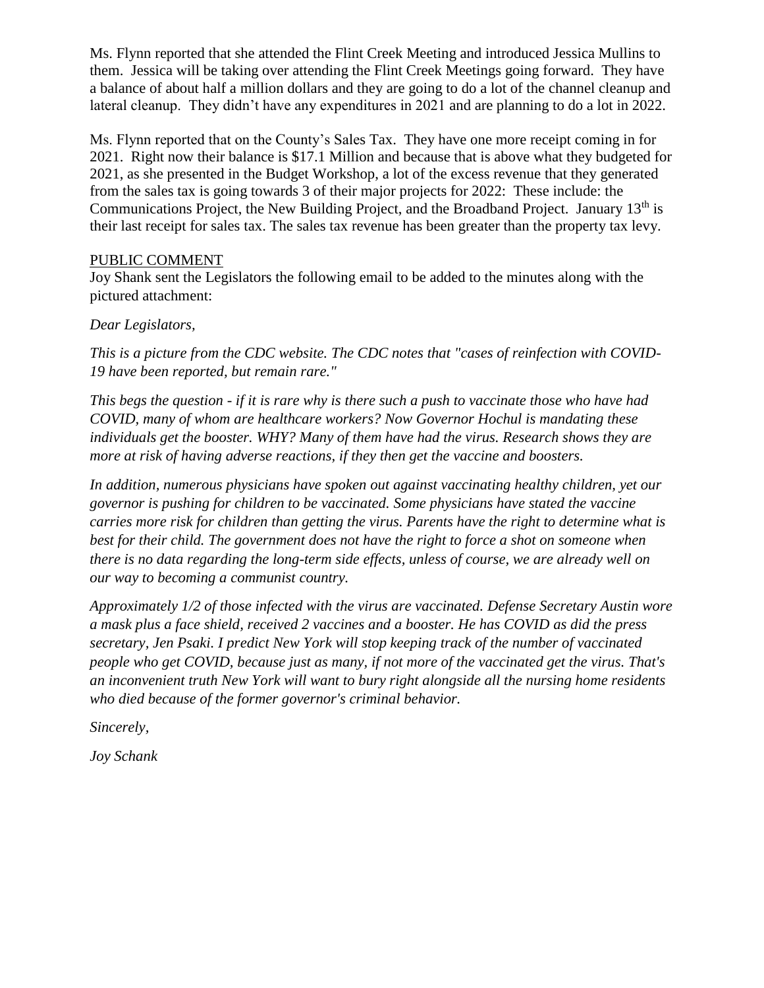Ms. Flynn reported that she attended the Flint Creek Meeting and introduced Jessica Mullins to them. Jessica will be taking over attending the Flint Creek Meetings going forward. They have a balance of about half a million dollars and they are going to do a lot of the channel cleanup and lateral cleanup. They didn't have any expenditures in 2021 and are planning to do a lot in 2022.

Ms. Flynn reported that on the County's Sales Tax. They have one more receipt coming in for 2021. Right now their balance is \$17.1 Million and because that is above what they budgeted for 2021, as she presented in the Budget Workshop, a lot of the excess revenue that they generated from the sales tax is going towards 3 of their major projects for 2022: These include: the Communications Project, the New Building Project, and the Broadband Project. January  $13<sup>th</sup>$  is their last receipt for sales tax. The sales tax revenue has been greater than the property tax levy.

# PUBLIC COMMENT

Joy Shank sent the Legislators the following email to be added to the minutes along with the pictured attachment:

# *Dear Legislators,*

*This is a picture from the CDC website. The CDC notes that "cases of reinfection with COVID-19 have been reported, but remain rare."*

*This begs the question - if it is rare why is there such a push to vaccinate those who have had COVID, many of whom are healthcare workers? Now Governor Hochul is mandating these individuals get the booster. WHY? Many of them have had the virus. Research shows they are more at risk of having adverse reactions, if they then get the vaccine and boosters.* 

*In addition, numerous physicians have spoken out against vaccinating healthy children, yet our governor is pushing for children to be vaccinated. Some physicians have stated the vaccine carries more risk for children than getting the virus. Parents have the right to determine what is best for their child. The government does not have the right to force a shot on someone when there is no data regarding the long-term side effects, unless of course, we are already well on our way to becoming a communist country.* 

*Approximately 1/2 of those infected with the virus are vaccinated. Defense Secretary Austin wore a mask plus a face shield, received 2 vaccines and a booster. He has COVID as did the press secretary, Jen Psaki. I predict New York will stop keeping track of the number of vaccinated people who get COVID, because just as many, if not more of the vaccinated get the virus. That's an inconvenient truth New York will want to bury right alongside all the nursing home residents who died because of the former governor's criminal behavior.*

*Sincerely,*

*Joy Schank*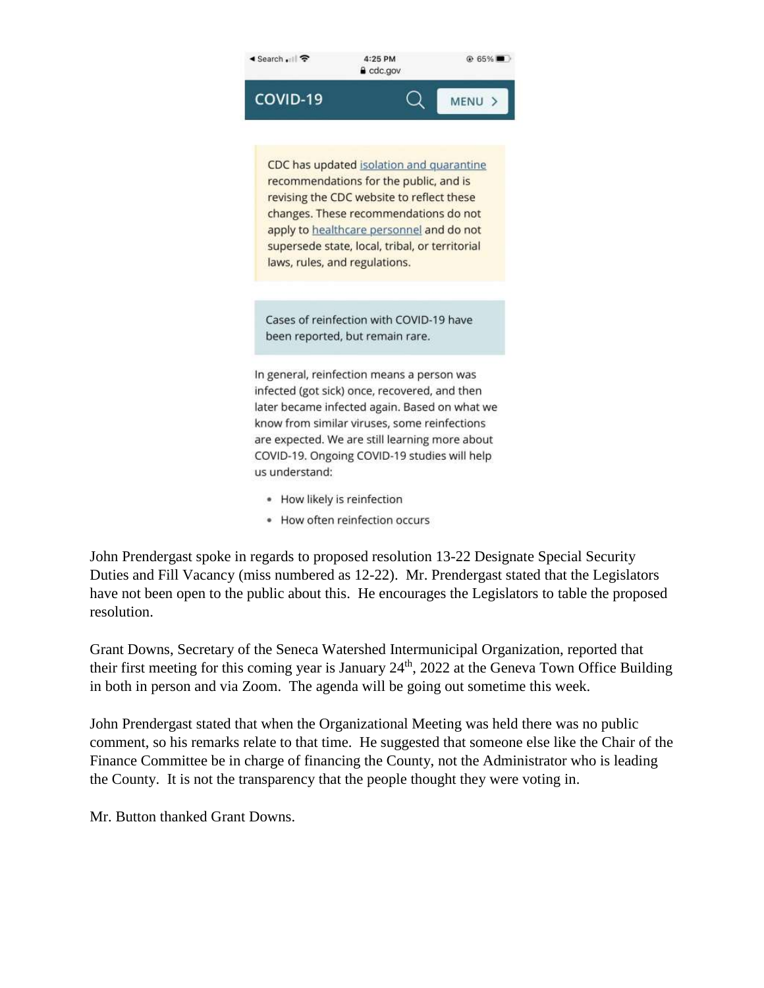

recommendations for the public, and is revising the CDC website to reflect these changes. These recommendations do not apply to healthcare personnel and do not supersede state, local, tribal, or territorial laws, rules, and regulations.

Cases of reinfection with COVID-19 have been reported, but remain rare.

In general, reinfection means a person was infected (got sick) once, recovered, and then later became infected again. Based on what we know from similar viruses, some reinfections are expected. We are still learning more about COVID-19. Ongoing COVID-19 studies will help us understand:

- · How likely is reinfection
- How often reinfection occurs

John Prendergast spoke in regards to proposed resolution 13-22 Designate Special Security Duties and Fill Vacancy (miss numbered as 12-22). Mr. Prendergast stated that the Legislators have not been open to the public about this. He encourages the Legislators to table the proposed resolution.

Grant Downs, Secretary of the Seneca Watershed Intermunicipal Organization, reported that their first meeting for this coming year is January  $24<sup>th</sup>$ , 2022 at the Geneva Town Office Building in both in person and via Zoom. The agenda will be going out sometime this week.

John Prendergast stated that when the Organizational Meeting was held there was no public comment, so his remarks relate to that time. He suggested that someone else like the Chair of the Finance Committee be in charge of financing the County, not the Administrator who is leading the County. It is not the transparency that the people thought they were voting in.

Mr. Button thanked Grant Downs.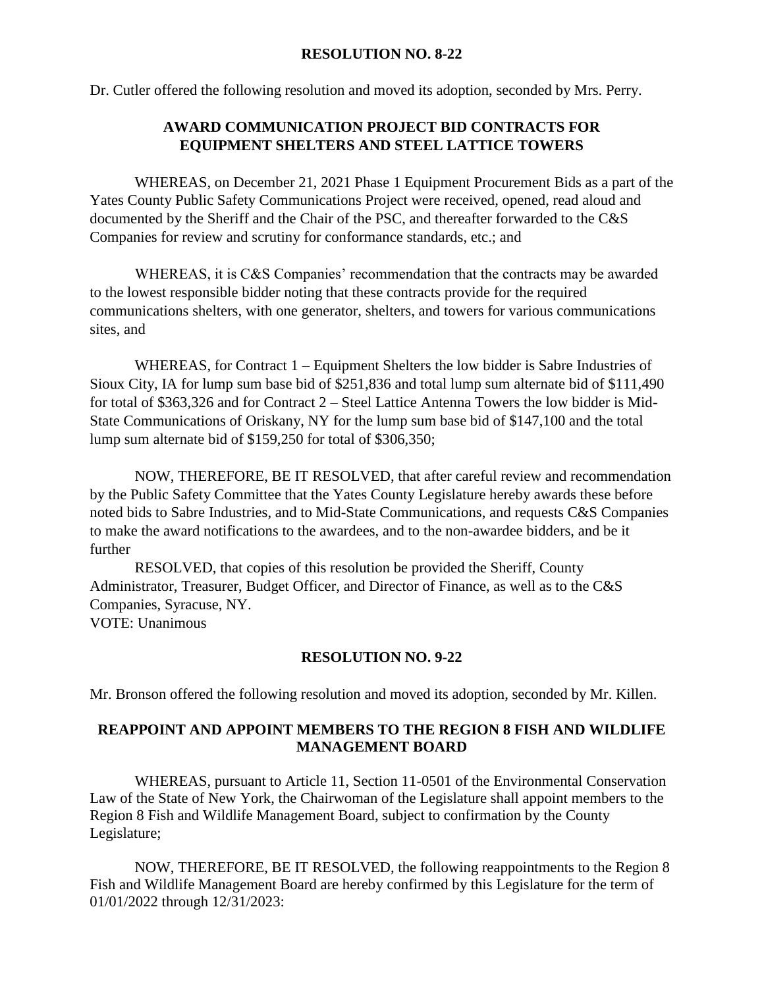#### **RESOLUTION NO. 8-22**

Dr. Cutler offered the following resolution and moved its adoption, seconded by Mrs. Perry.

# **AWARD COMMUNICATION PROJECT BID CONTRACTS FOR EQUIPMENT SHELTERS AND STEEL LATTICE TOWERS**

WHEREAS, on December 21, 2021 Phase 1 Equipment Procurement Bids as a part of the Yates County Public Safety Communications Project were received, opened, read aloud and documented by the Sheriff and the Chair of the PSC, and thereafter forwarded to the C&S Companies for review and scrutiny for conformance standards, etc.; and

WHEREAS, it is C&S Companies' recommendation that the contracts may be awarded to the lowest responsible bidder noting that these contracts provide for the required communications shelters, with one generator, shelters, and towers for various communications sites, and

WHEREAS, for Contract 1 – Equipment Shelters the low bidder is Sabre Industries of Sioux City, IA for lump sum base bid of \$251,836 and total lump sum alternate bid of \$111,490 for total of \$363,326 and for Contract 2 – Steel Lattice Antenna Towers the low bidder is Mid-State Communications of Oriskany, NY for the lump sum base bid of \$147,100 and the total lump sum alternate bid of \$159,250 for total of \$306,350;

NOW, THEREFORE, BE IT RESOLVED, that after careful review and recommendation by the Public Safety Committee that the Yates County Legislature hereby awards these before noted bids to Sabre Industries, and to Mid-State Communications, and requests C&S Companies to make the award notifications to the awardees, and to the non-awardee bidders, and be it further

RESOLVED, that copies of this resolution be provided the Sheriff, County Administrator, Treasurer, Budget Officer, and Director of Finance, as well as to the C&S Companies, Syracuse, NY. VOTE: Unanimous

### **RESOLUTION NO. 9-22**

Mr. Bronson offered the following resolution and moved its adoption, seconded by Mr. Killen.

# **REAPPOINT AND APPOINT MEMBERS TO THE REGION 8 FISH AND WILDLIFE MANAGEMENT BOARD**

WHEREAS, pursuant to Article 11, Section 11-0501 of the Environmental Conservation Law of the State of New York, the Chairwoman of the Legislature shall appoint members to the Region 8 Fish and Wildlife Management Board, subject to confirmation by the County Legislature;

NOW, THEREFORE, BE IT RESOLVED, the following reappointments to the Region 8 Fish and Wildlife Management Board are hereby confirmed by this Legislature for the term of 01/01/2022 through 12/31/2023: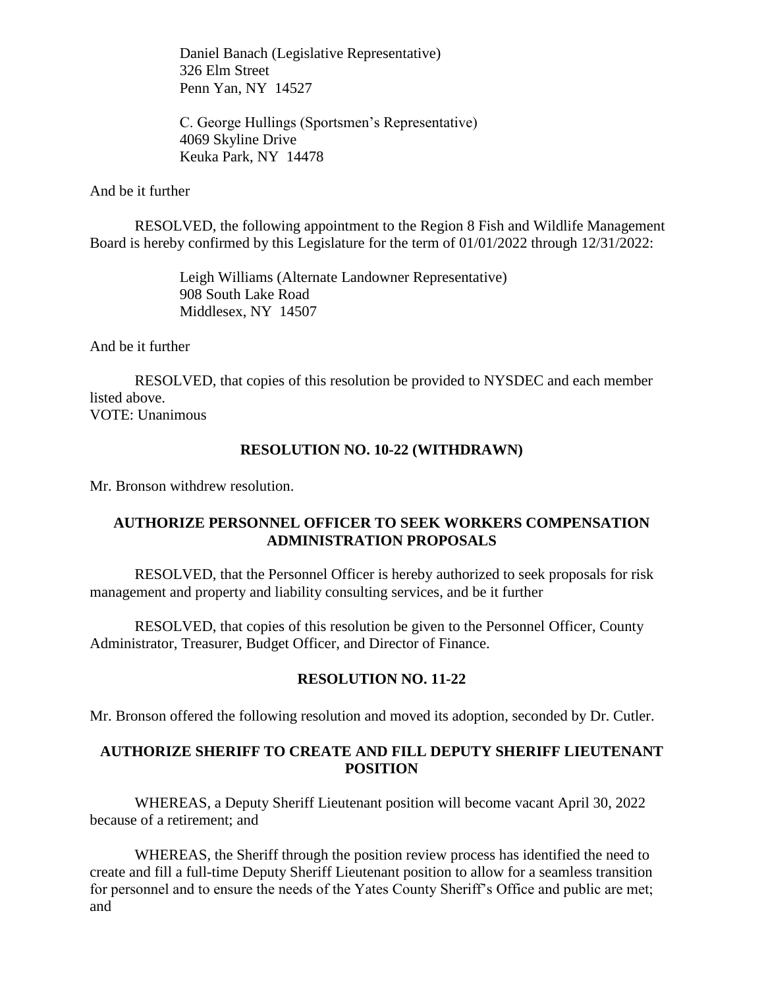Daniel Banach (Legislative Representative) 326 Elm Street Penn Yan, NY 14527

C. George Hullings (Sportsmen's Representative) 4069 Skyline Drive Keuka Park, NY 14478

#### And be it further

RESOLVED, the following appointment to the Region 8 Fish and Wildlife Management Board is hereby confirmed by this Legislature for the term of 01/01/2022 through 12/31/2022:

> Leigh Williams (Alternate Landowner Representative) 908 South Lake Road Middlesex, NY 14507

And be it further

RESOLVED, that copies of this resolution be provided to NYSDEC and each member listed above. VOTE: Unanimous

#### **RESOLUTION NO. 10-22 (WITHDRAWN)**

Mr. Bronson withdrew resolution.

# **AUTHORIZE PERSONNEL OFFICER TO SEEK WORKERS COMPENSATION ADMINISTRATION PROPOSALS**

RESOLVED, that the Personnel Officer is hereby authorized to seek proposals for risk management and property and liability consulting services, and be it further

RESOLVED, that copies of this resolution be given to the Personnel Officer, County Administrator, Treasurer, Budget Officer, and Director of Finance.

### **RESOLUTION NO. 11-22**

Mr. Bronson offered the following resolution and moved its adoption, seconded by Dr. Cutler.

# **AUTHORIZE SHERIFF TO CREATE AND FILL DEPUTY SHERIFF LIEUTENANT POSITION**

WHEREAS, a Deputy Sheriff Lieutenant position will become vacant April 30, 2022 because of a retirement; and

WHEREAS, the Sheriff through the position review process has identified the need to create and fill a full-time Deputy Sheriff Lieutenant position to allow for a seamless transition for personnel and to ensure the needs of the Yates County Sheriff's Office and public are met; and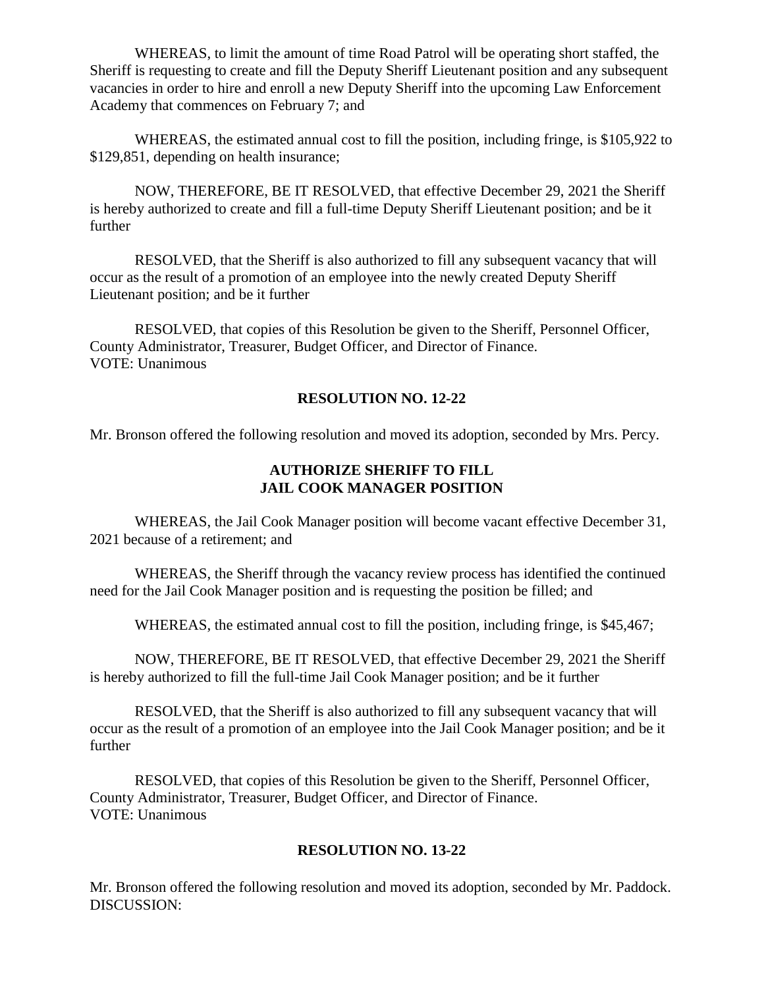WHEREAS, to limit the amount of time Road Patrol will be operating short staffed, the Sheriff is requesting to create and fill the Deputy Sheriff Lieutenant position and any subsequent vacancies in order to hire and enroll a new Deputy Sheriff into the upcoming Law Enforcement Academy that commences on February 7; and

WHEREAS, the estimated annual cost to fill the position, including fringe, is \$105,922 to \$129,851, depending on health insurance;

NOW, THEREFORE, BE IT RESOLVED, that effective December 29, 2021 the Sheriff is hereby authorized to create and fill a full-time Deputy Sheriff Lieutenant position; and be it further

RESOLVED, that the Sheriff is also authorized to fill any subsequent vacancy that will occur as the result of a promotion of an employee into the newly created Deputy Sheriff Lieutenant position; and be it further

RESOLVED, that copies of this Resolution be given to the Sheriff, Personnel Officer, County Administrator, Treasurer, Budget Officer, and Director of Finance. VOTE: Unanimous

# **RESOLUTION NO. 12-22**

Mr. Bronson offered the following resolution and moved its adoption, seconded by Mrs. Percy.

# **AUTHORIZE SHERIFF TO FILL JAIL COOK MANAGER POSITION**

WHEREAS, the Jail Cook Manager position will become vacant effective December 31, 2021 because of a retirement; and

WHEREAS, the Sheriff through the vacancy review process has identified the continued need for the Jail Cook Manager position and is requesting the position be filled; and

WHEREAS, the estimated annual cost to fill the position, including fringe, is \$45,467;

NOW, THEREFORE, BE IT RESOLVED, that effective December 29, 2021 the Sheriff is hereby authorized to fill the full-time Jail Cook Manager position; and be it further

RESOLVED, that the Sheriff is also authorized to fill any subsequent vacancy that will occur as the result of a promotion of an employee into the Jail Cook Manager position; and be it further

RESOLVED, that copies of this Resolution be given to the Sheriff, Personnel Officer, County Administrator, Treasurer, Budget Officer, and Director of Finance. VOTE: Unanimous

# **RESOLUTION NO. 13-22**

Mr. Bronson offered the following resolution and moved its adoption, seconded by Mr. Paddock. DISCUSSION: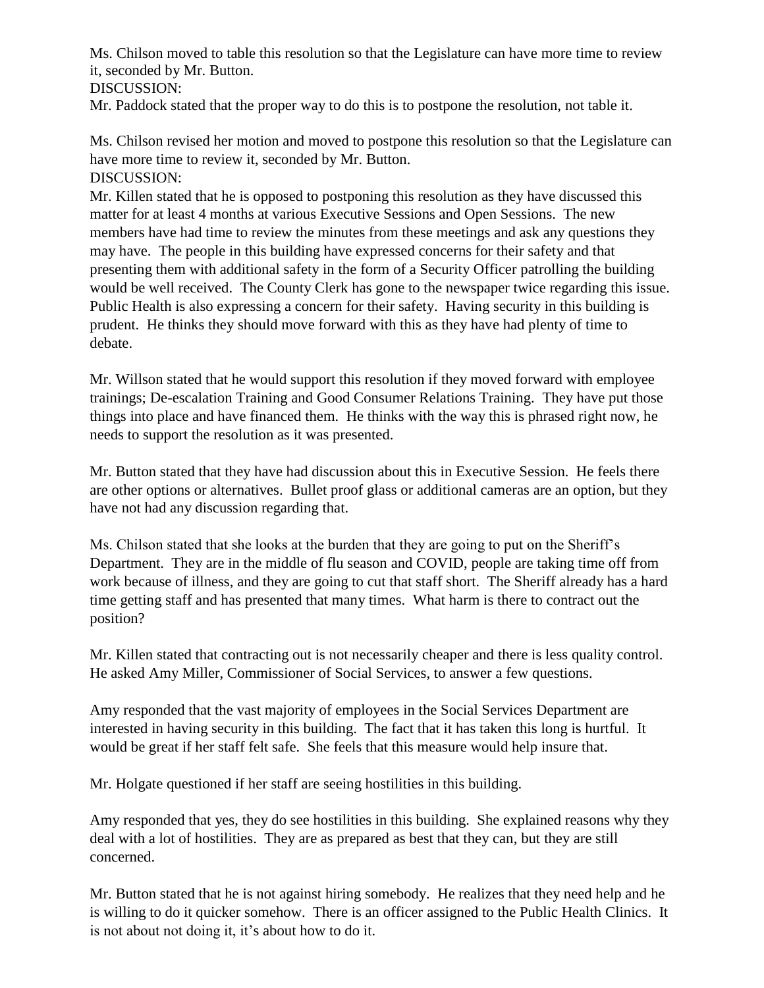Ms. Chilson moved to table this resolution so that the Legislature can have more time to review it, seconded by Mr. Button. DISCUSSION:

Mr. Paddock stated that the proper way to do this is to postpone the resolution, not table it.

Ms. Chilson revised her motion and moved to postpone this resolution so that the Legislature can have more time to review it, seconded by Mr. Button. DISCUSSION:

Mr. Killen stated that he is opposed to postponing this resolution as they have discussed this matter for at least 4 months at various Executive Sessions and Open Sessions. The new members have had time to review the minutes from these meetings and ask any questions they may have. The people in this building have expressed concerns for their safety and that presenting them with additional safety in the form of a Security Officer patrolling the building would be well received. The County Clerk has gone to the newspaper twice regarding this issue. Public Health is also expressing a concern for their safety. Having security in this building is prudent. He thinks they should move forward with this as they have had plenty of time to debate.

Mr. Willson stated that he would support this resolution if they moved forward with employee trainings; De-escalation Training and Good Consumer Relations Training. They have put those things into place and have financed them. He thinks with the way this is phrased right now, he needs to support the resolution as it was presented.

Mr. Button stated that they have had discussion about this in Executive Session. He feels there are other options or alternatives. Bullet proof glass or additional cameras are an option, but they have not had any discussion regarding that.

Ms. Chilson stated that she looks at the burden that they are going to put on the Sheriff's Department. They are in the middle of flu season and COVID, people are taking time off from work because of illness, and they are going to cut that staff short. The Sheriff already has a hard time getting staff and has presented that many times. What harm is there to contract out the position?

Mr. Killen stated that contracting out is not necessarily cheaper and there is less quality control. He asked Amy Miller, Commissioner of Social Services, to answer a few questions.

Amy responded that the vast majority of employees in the Social Services Department are interested in having security in this building. The fact that it has taken this long is hurtful. It would be great if her staff felt safe. She feels that this measure would help insure that.

Mr. Holgate questioned if her staff are seeing hostilities in this building.

Amy responded that yes, they do see hostilities in this building. She explained reasons why they deal with a lot of hostilities. They are as prepared as best that they can, but they are still concerned.

Mr. Button stated that he is not against hiring somebody. He realizes that they need help and he is willing to do it quicker somehow. There is an officer assigned to the Public Health Clinics. It is not about not doing it, it's about how to do it.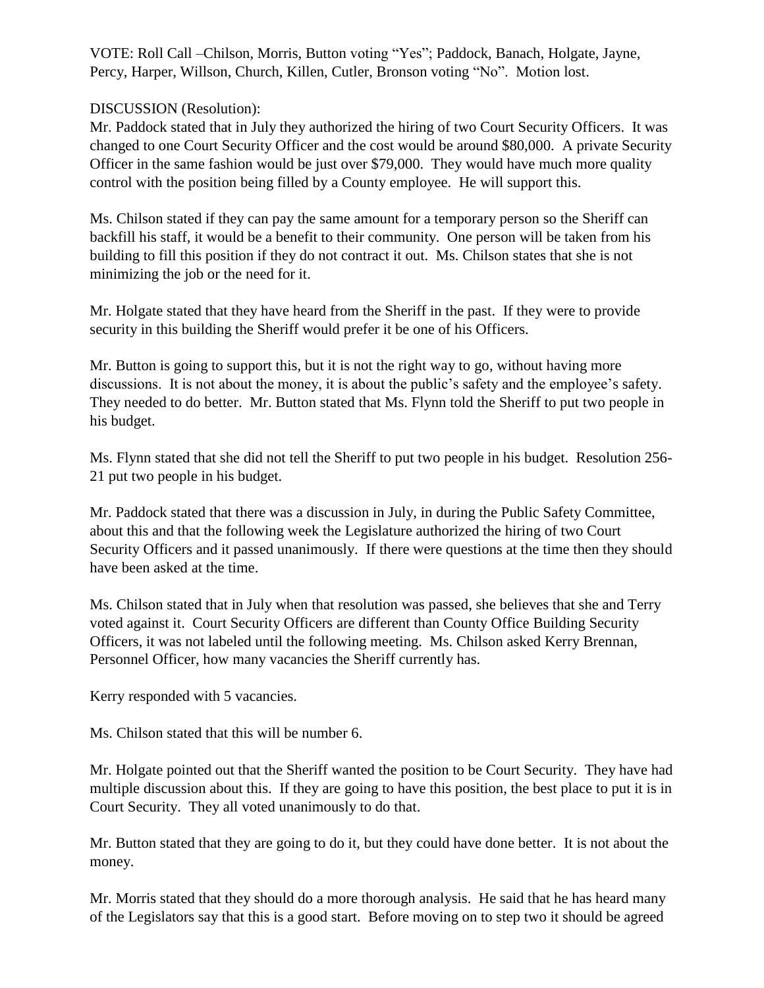VOTE: Roll Call –Chilson, Morris, Button voting "Yes"; Paddock, Banach, Holgate, Jayne, Percy, Harper, Willson, Church, Killen, Cutler, Bronson voting "No". Motion lost.

# DISCUSSION (Resolution):

Mr. Paddock stated that in July they authorized the hiring of two Court Security Officers. It was changed to one Court Security Officer and the cost would be around \$80,000. A private Security Officer in the same fashion would be just over \$79,000. They would have much more quality control with the position being filled by a County employee. He will support this.

Ms. Chilson stated if they can pay the same amount for a temporary person so the Sheriff can backfill his staff, it would be a benefit to their community. One person will be taken from his building to fill this position if they do not contract it out. Ms. Chilson states that she is not minimizing the job or the need for it.

Mr. Holgate stated that they have heard from the Sheriff in the past. If they were to provide security in this building the Sheriff would prefer it be one of his Officers.

Mr. Button is going to support this, but it is not the right way to go, without having more discussions. It is not about the money, it is about the public's safety and the employee's safety. They needed to do better. Mr. Button stated that Ms. Flynn told the Sheriff to put two people in his budget.

Ms. Flynn stated that she did not tell the Sheriff to put two people in his budget. Resolution 256- 21 put two people in his budget.

Mr. Paddock stated that there was a discussion in July, in during the Public Safety Committee, about this and that the following week the Legislature authorized the hiring of two Court Security Officers and it passed unanimously. If there were questions at the time then they should have been asked at the time.

Ms. Chilson stated that in July when that resolution was passed, she believes that she and Terry voted against it. Court Security Officers are different than County Office Building Security Officers, it was not labeled until the following meeting. Ms. Chilson asked Kerry Brennan, Personnel Officer, how many vacancies the Sheriff currently has.

Kerry responded with 5 vacancies.

Ms. Chilson stated that this will be number 6.

Mr. Holgate pointed out that the Sheriff wanted the position to be Court Security. They have had multiple discussion about this. If they are going to have this position, the best place to put it is in Court Security. They all voted unanimously to do that.

Mr. Button stated that they are going to do it, but they could have done better. It is not about the money.

Mr. Morris stated that they should do a more thorough analysis. He said that he has heard many of the Legislators say that this is a good start. Before moving on to step two it should be agreed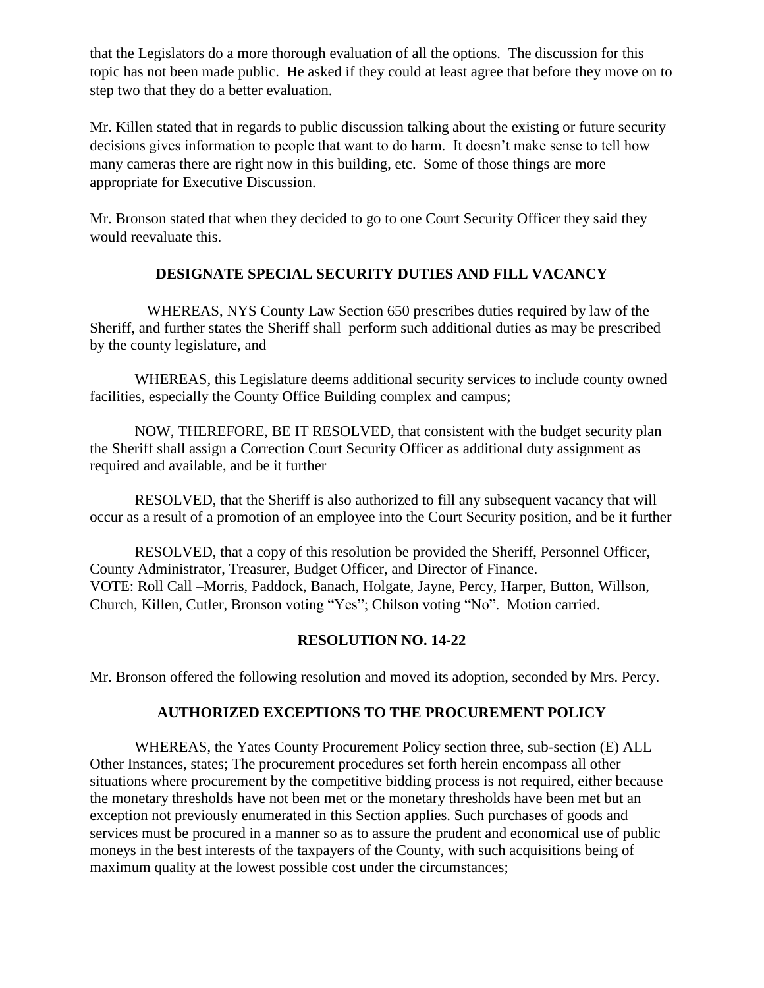that the Legislators do a more thorough evaluation of all the options. The discussion for this topic has not been made public. He asked if they could at least agree that before they move on to step two that they do a better evaluation.

Mr. Killen stated that in regards to public discussion talking about the existing or future security decisions gives information to people that want to do harm. It doesn't make sense to tell how many cameras there are right now in this building, etc. Some of those things are more appropriate for Executive Discussion.

Mr. Bronson stated that when they decided to go to one Court Security Officer they said they would reevaluate this.

# **DESIGNATE SPECIAL SECURITY DUTIES AND FILL VACANCY**

WHEREAS, NYS County Law Section 650 prescribes duties required by law of the Sheriff, and further states the Sheriff shall perform such additional duties as may be prescribed by the county legislature, and

WHEREAS, this Legislature deems additional security services to include county owned facilities, especially the County Office Building complex and campus;

NOW, THEREFORE, BE IT RESOLVED, that consistent with the budget security plan the Sheriff shall assign a Correction Court Security Officer as additional duty assignment as required and available, and be it further

RESOLVED, that the Sheriff is also authorized to fill any subsequent vacancy that will occur as a result of a promotion of an employee into the Court Security position, and be it further

RESOLVED, that a copy of this resolution be provided the Sheriff, Personnel Officer, County Administrator, Treasurer, Budget Officer, and Director of Finance. VOTE: Roll Call –Morris, Paddock, Banach, Holgate, Jayne, Percy, Harper, Button, Willson, Church, Killen, Cutler, Bronson voting "Yes"; Chilson voting "No". Motion carried.

# **RESOLUTION NO. 14-22**

Mr. Bronson offered the following resolution and moved its adoption, seconded by Mrs. Percy.

# **AUTHORIZED EXCEPTIONS TO THE PROCUREMENT POLICY**

WHEREAS, the Yates County Procurement Policy section three, sub-section (E) ALL Other Instances, states; The procurement procedures set forth herein encompass all other situations where procurement by the competitive bidding process is not required, either because the monetary thresholds have not been met or the monetary thresholds have been met but an exception not previously enumerated in this Section applies. Such purchases of goods and services must be procured in a manner so as to assure the prudent and economical use of public moneys in the best interests of the taxpayers of the County, with such acquisitions being of maximum quality at the lowest possible cost under the circumstances;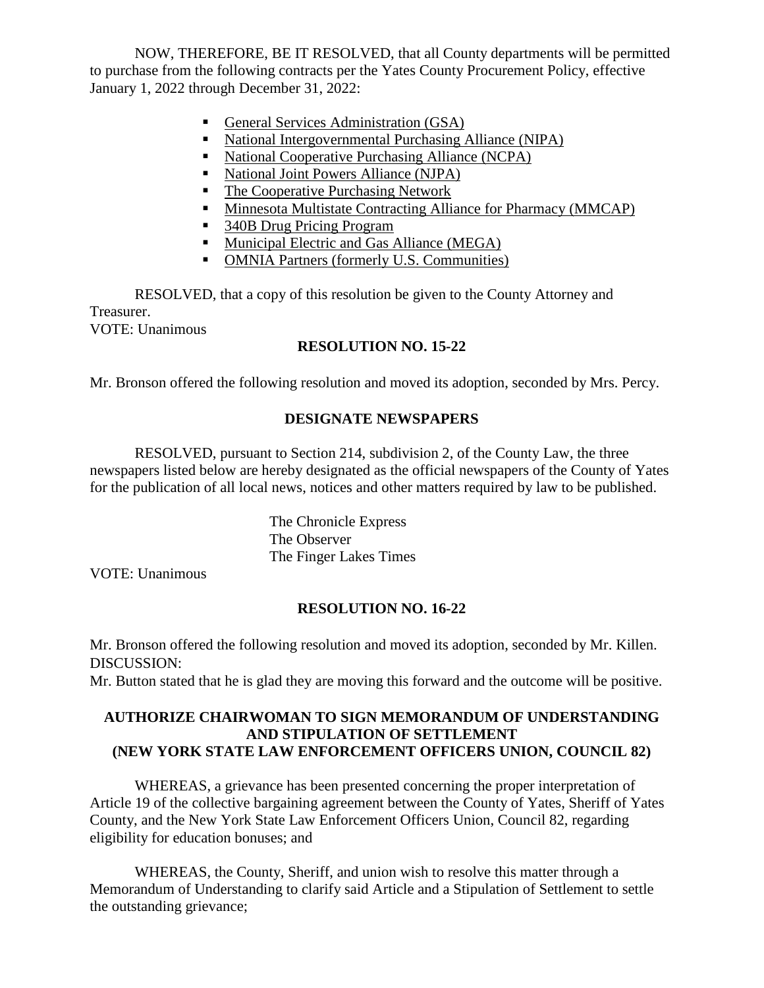NOW, THEREFORE, BE IT RESOLVED, that all County departments will be permitted to purchase from the following contracts per the Yates County Procurement Policy, effective January 1, 2022 through December 31, 2022:

- General Services Administration (GSA)
- National Intergovernmental Purchasing Alliance (NIPA)
- National Cooperative Purchasing Alliance (NCPA)
- National Joint Powers Alliance (NJPA)
- The Cooperative Purchasing Network
- **Minnesota Multistate Contracting Alliance for Pharmacy (MMCAP)**
- 340B Drug Pricing Program
- **Municipal Electric and Gas Alliance (MEGA)**
- OMNIA Partners (formerly U.S. Communities)

RESOLVED, that a copy of this resolution be given to the County Attorney and Treasurer. VOTE: Unanimous

# **RESOLUTION NO. 15-22**

Mr. Bronson offered the following resolution and moved its adoption, seconded by Mrs. Percy.

# **DESIGNATE NEWSPAPERS**

RESOLVED, pursuant to Section 214, subdivision 2, of the County Law, the three newspapers listed below are hereby designated as the official newspapers of the County of Yates for the publication of all local news, notices and other matters required by law to be published.

> The Chronicle Express The Observer The Finger Lakes Times

VOTE: Unanimous

# **RESOLUTION NO. 16-22**

Mr. Bronson offered the following resolution and moved its adoption, seconded by Mr. Killen. DISCUSSION:

Mr. Button stated that he is glad they are moving this forward and the outcome will be positive.

# **AUTHORIZE CHAIRWOMAN TO SIGN MEMORANDUM OF UNDERSTANDING AND STIPULATION OF SETTLEMENT (NEW YORK STATE LAW ENFORCEMENT OFFICERS UNION, COUNCIL 82)**

WHEREAS, a grievance has been presented concerning the proper interpretation of Article 19 of the collective bargaining agreement between the County of Yates, Sheriff of Yates County, and the New York State Law Enforcement Officers Union, Council 82, regarding eligibility for education bonuses; and

WHEREAS, the County, Sheriff, and union wish to resolve this matter through a Memorandum of Understanding to clarify said Article and a Stipulation of Settlement to settle the outstanding grievance;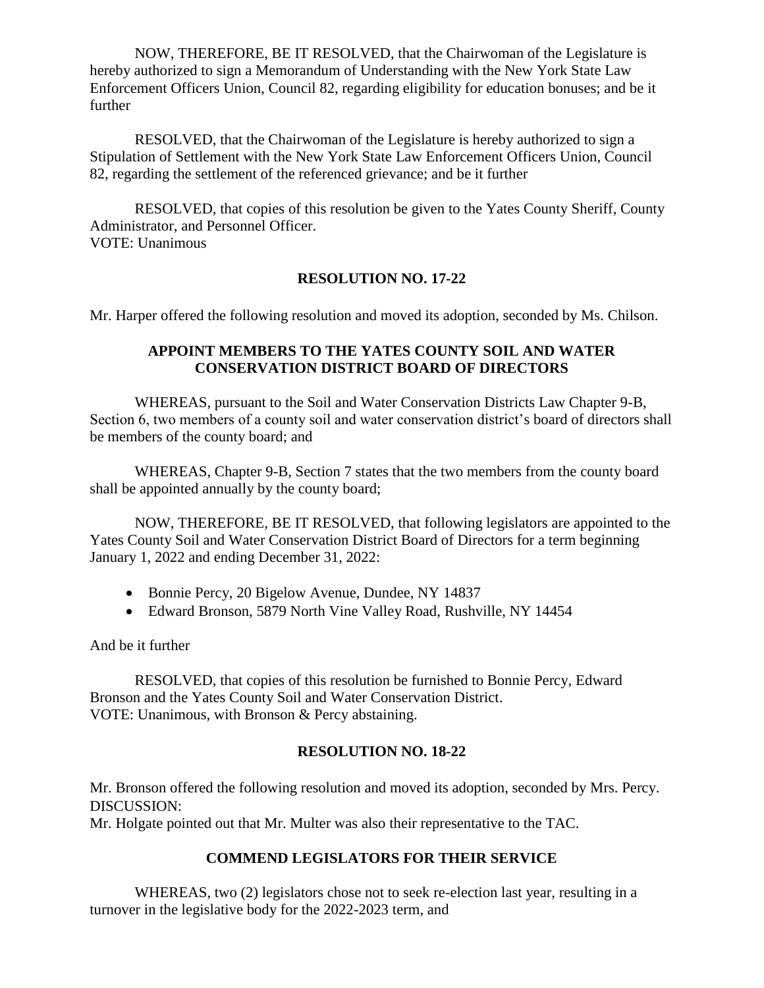NOW, THEREFORE, BE IT RESOLVED, that the Chairwoman of the Legislature is hereby authorized to sign a Memorandum of Understanding with the New York State Law Enforcement Officers Union, Council 82, regarding eligibility for education bonuses; and be it further

RESOLVED, that the Chairwoman of the Legislature is hereby authorized to sign a Stipulation of Settlement with the New York State Law Enforcement Officers Union, Council 82, regarding the settlement of the referenced grievance; and be it further

RESOLVED, that copies of this resolution be given to the Yates County Sheriff, County Administrator, and Personnel Officer. VOTE: Unanimous

# **RESOLUTION NO. 17-22**

Mr. Harper offered the following resolution and moved its adoption, seconded by Ms. Chilson.

## **APPOINT MEMBERS TO THE YATES COUNTY SOIL AND WATER CONSERVATION DISTRICT BOARD OF DIRECTORS**

WHEREAS, pursuant to the Soil and Water Conservation Districts Law Chapter 9-B, Section 6, two members of a county soil and water conservation district's board of directors shall be members of the county board; and

WHEREAS, Chapter 9-B, Section 7 states that the two members from the county board shall be appointed annually by the county board;

NOW, THEREFORE, BE IT RESOLVED, that following legislators are appointed to the Yates County Soil and Water Conservation District Board of Directors for a term beginning January 1, 2022 and ending December 31, 2022:

- Bonnie Percy, 20 Bigelow Avenue, Dundee, NY 14837
- Edward Bronson, 5879 North Vine Valley Road, Rushville, NY 14454

And be it further

RESOLVED, that copies of this resolution be furnished to Bonnie Percy, Edward Bronson and the Yates County Soil and Water Conservation District. VOTE: Unanimous, with Bronson & Percy abstaining.

### **RESOLUTION NO. 18-22**

Mr. Bronson offered the following resolution and moved its adoption, seconded by Mrs. Percy. DISCUSSION:

Mr. Holgate pointed out that Mr. Multer was also their representative to the TAC.

# **COMMEND LEGISLATORS FOR THEIR SERVICE**

WHEREAS, two (2) legislators chose not to seek re-election last year, resulting in a turnover in the legislative body for the 2022-2023 term, and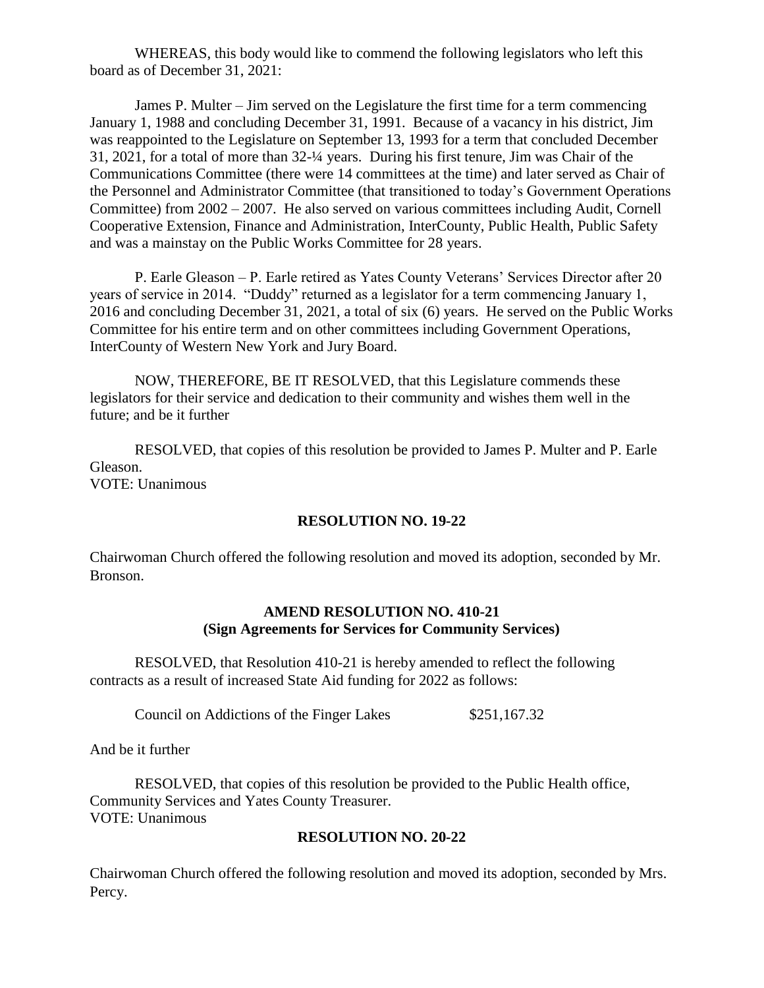WHEREAS, this body would like to commend the following legislators who left this board as of December 31, 2021:

James P. Multer – Jim served on the Legislature the first time for a term commencing January 1, 1988 and concluding December 31, 1991. Because of a vacancy in his district, Jim was reappointed to the Legislature on September 13, 1993 for a term that concluded December 31, 2021, for a total of more than 32-¼ years. During his first tenure, Jim was Chair of the Communications Committee (there were 14 committees at the time) and later served as Chair of the Personnel and Administrator Committee (that transitioned to today's Government Operations Committee) from 2002 – 2007. He also served on various committees including Audit, Cornell Cooperative Extension, Finance and Administration, InterCounty, Public Health, Public Safety and was a mainstay on the Public Works Committee for 28 years.

P. Earle Gleason – P. Earle retired as Yates County Veterans' Services Director after 20 years of service in 2014. "Duddy" returned as a legislator for a term commencing January 1, 2016 and concluding December 31, 2021, a total of six (6) years. He served on the Public Works Committee for his entire term and on other committees including Government Operations, InterCounty of Western New York and Jury Board.

NOW, THEREFORE, BE IT RESOLVED, that this Legislature commends these legislators for their service and dedication to their community and wishes them well in the future; and be it further

RESOLVED, that copies of this resolution be provided to James P. Multer and P. Earle Gleason. VOTE: Unanimous

#### **RESOLUTION NO. 19-22**

Chairwoman Church offered the following resolution and moved its adoption, seconded by Mr. Bronson.

## **AMEND RESOLUTION NO. 410-21 (Sign Agreements for Services for Community Services)**

RESOLVED, that Resolution 410-21 is hereby amended to reflect the following contracts as a result of increased State Aid funding for 2022 as follows:

Council on Addictions of the Finger Lakes \$251,167.32

And be it further

RESOLVED, that copies of this resolution be provided to the Public Health office, Community Services and Yates County Treasurer. VOTE: Unanimous

#### **RESOLUTION NO. 20-22**

Chairwoman Church offered the following resolution and moved its adoption, seconded by Mrs. Percy.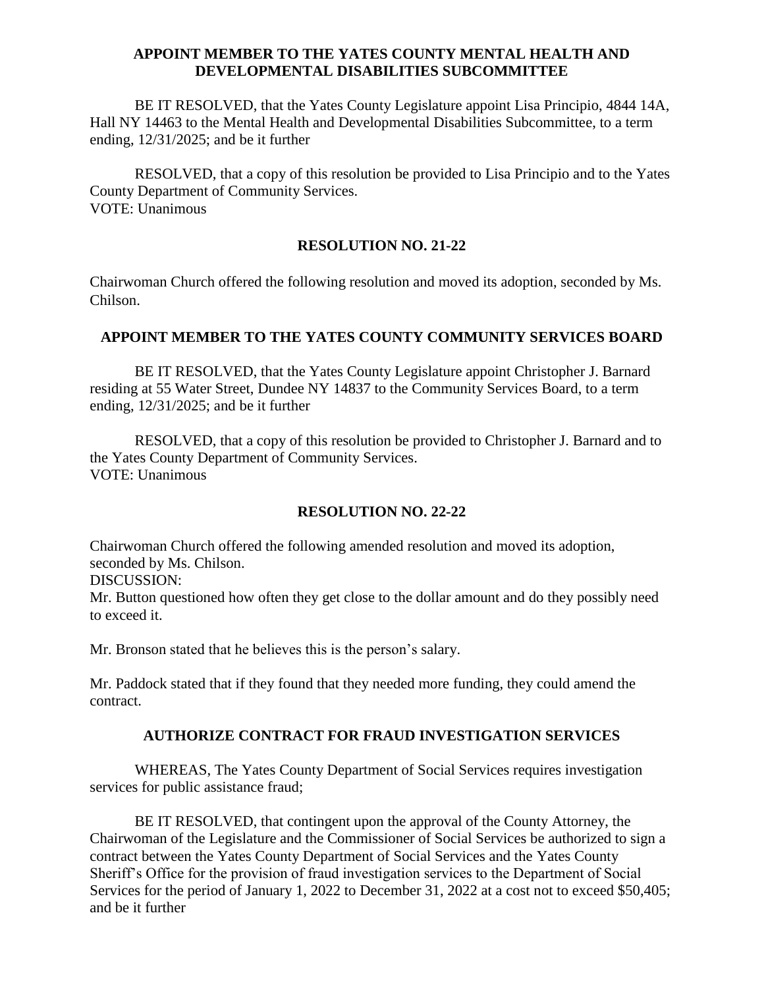### **APPOINT MEMBER TO THE YATES COUNTY MENTAL HEALTH AND DEVELOPMENTAL DISABILITIES SUBCOMMITTEE**

BE IT RESOLVED, that the Yates County Legislature appoint Lisa Principio, 4844 14A, Hall NY 14463 to the Mental Health and Developmental Disabilities Subcommittee, to a term ending, 12/31/2025; and be it further

RESOLVED, that a copy of this resolution be provided to Lisa Principio and to the Yates County Department of Community Services. VOTE: Unanimous

### **RESOLUTION NO. 21-22**

Chairwoman Church offered the following resolution and moved its adoption, seconded by Ms. Chilson.

# **APPOINT MEMBER TO THE YATES COUNTY COMMUNITY SERVICES BOARD**

BE IT RESOLVED, that the Yates County Legislature appoint Christopher J. Barnard residing at 55 Water Street, Dundee NY 14837 to the Community Services Board, to a term ending, 12/31/2025; and be it further

RESOLVED, that a copy of this resolution be provided to Christopher J. Barnard and to the Yates County Department of Community Services. VOTE: Unanimous

# **RESOLUTION NO. 22-22**

Chairwoman Church offered the following amended resolution and moved its adoption, seconded by Ms. Chilson.

DISCUSSION:

Mr. Button questioned how often they get close to the dollar amount and do they possibly need to exceed it.

Mr. Bronson stated that he believes this is the person's salary.

Mr. Paddock stated that if they found that they needed more funding, they could amend the contract.

### **AUTHORIZE CONTRACT FOR FRAUD INVESTIGATION SERVICES**

WHEREAS, The Yates County Department of Social Services requires investigation services for public assistance fraud;

BE IT RESOLVED, that contingent upon the approval of the County Attorney, the Chairwoman of the Legislature and the Commissioner of Social Services be authorized to sign a contract between the Yates County Department of Social Services and the Yates County Sheriff's Office for the provision of fraud investigation services to the Department of Social Services for the period of January 1, 2022 to December 31, 2022 at a cost not to exceed \$50,405; and be it further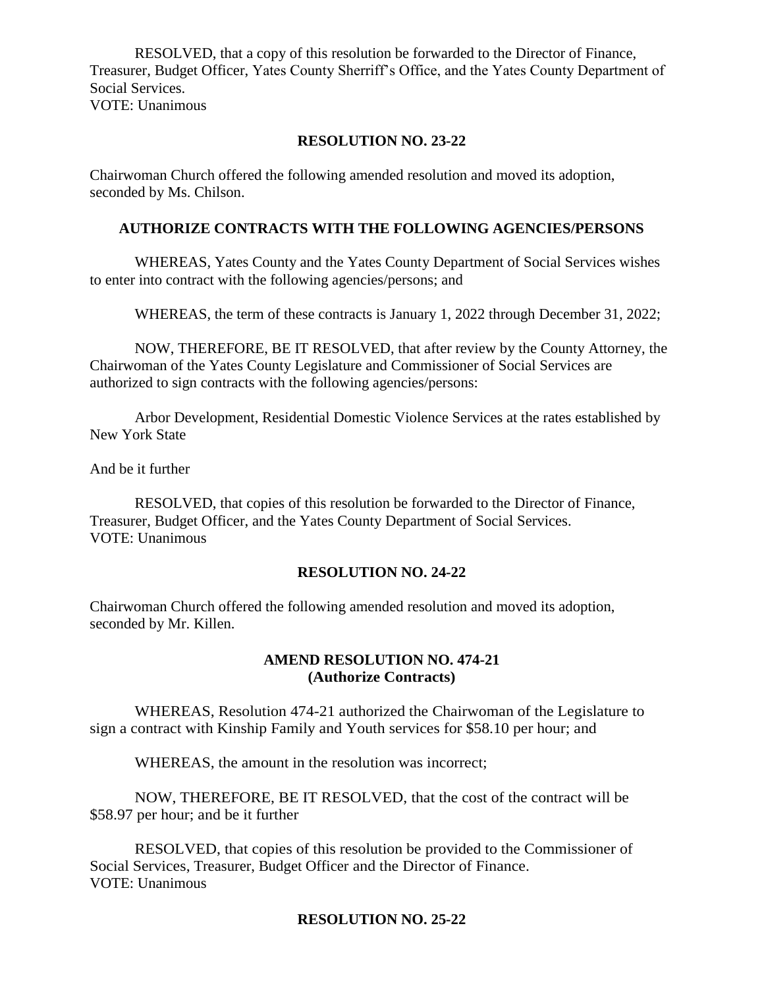RESOLVED, that a copy of this resolution be forwarded to the Director of Finance, Treasurer, Budget Officer, Yates County Sherriff's Office, and the Yates County Department of Social Services. VOTE: Unanimous

# **RESOLUTION NO. 23-22**

Chairwoman Church offered the following amended resolution and moved its adoption, seconded by Ms. Chilson.

## **AUTHORIZE CONTRACTS WITH THE FOLLOWING AGENCIES/PERSONS**

WHEREAS, Yates County and the Yates County Department of Social Services wishes to enter into contract with the following agencies/persons; and

WHEREAS, the term of these contracts is January 1, 2022 through December 31, 2022;

NOW, THEREFORE, BE IT RESOLVED, that after review by the County Attorney, the Chairwoman of the Yates County Legislature and Commissioner of Social Services are authorized to sign contracts with the following agencies/persons:

Arbor Development, Residential Domestic Violence Services at the rates established by New York State

And be it further

RESOLVED, that copies of this resolution be forwarded to the Director of Finance, Treasurer, Budget Officer, and the Yates County Department of Social Services. VOTE: Unanimous

### **RESOLUTION NO. 24-22**

Chairwoman Church offered the following amended resolution and moved its adoption, seconded by Mr. Killen.

# **AMEND RESOLUTION NO. 474-21 (Authorize Contracts)**

WHEREAS, Resolution 474-21 authorized the Chairwoman of the Legislature to sign a contract with Kinship Family and Youth services for \$58.10 per hour; and

WHEREAS, the amount in the resolution was incorrect;

NOW, THEREFORE, BE IT RESOLVED, that the cost of the contract will be \$58.97 per hour; and be it further

RESOLVED, that copies of this resolution be provided to the Commissioner of Social Services, Treasurer, Budget Officer and the Director of Finance. VOTE: Unanimous

# **RESOLUTION NO. 25-22**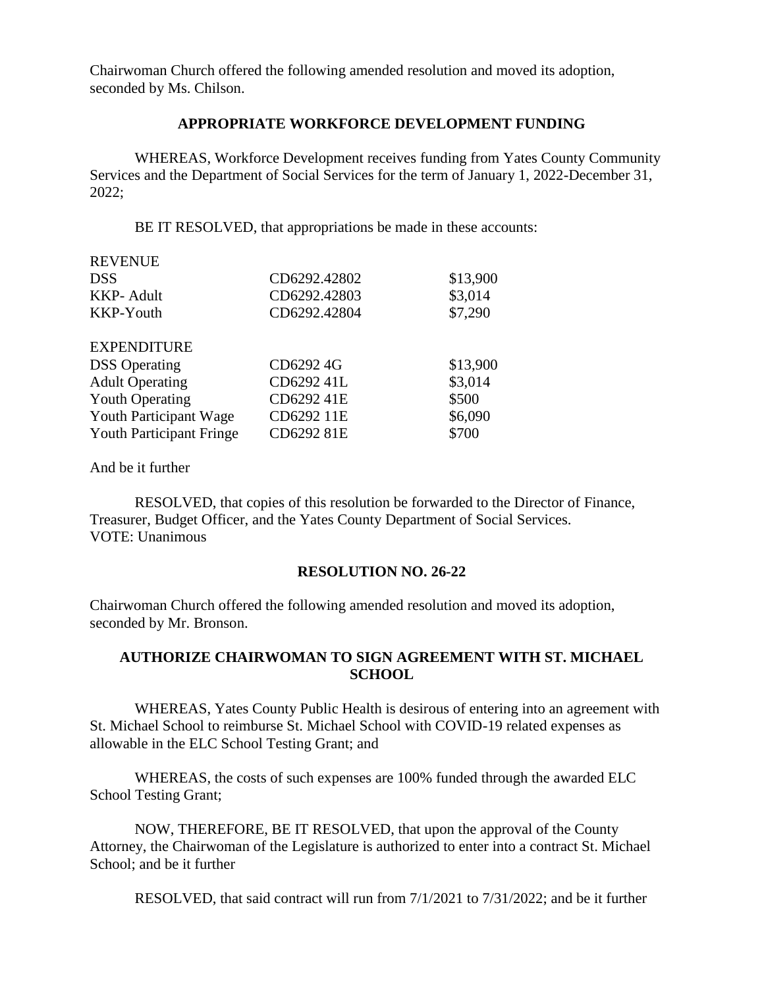Chairwoman Church offered the following amended resolution and moved its adoption, seconded by Ms. Chilson.

#### **APPROPRIATE WORKFORCE DEVELOPMENT FUNDING**

WHEREAS, Workforce Development receives funding from Yates County Community Services and the Department of Social Services for the term of January 1, 2022-December 31, 2022;

BE IT RESOLVED, that appropriations be made in these accounts:

| <b>REVENUE</b>                  |              |          |
|---------------------------------|--------------|----------|
| <b>DSS</b>                      | CD6292.42802 | \$13,900 |
| <b>KKP-Adult</b>                | CD6292.42803 | \$3,014  |
| KKP-Youth                       | CD6292.42804 | \$7,290  |
| <b>EXPENDITURE</b>              |              |          |
| <b>DSS</b> Operating            | CD6292 4G    | \$13,900 |
| <b>Adult Operating</b>          | CD6292 41L   | \$3,014  |
| <b>Youth Operating</b>          | CD6292 41E   | \$500    |
| Youth Participant Wage          | CD6292 11E   | \$6,090  |
| <b>Youth Participant Fringe</b> | CD6292 81E   | \$700    |

And be it further

RESOLVED, that copies of this resolution be forwarded to the Director of Finance, Treasurer, Budget Officer, and the Yates County Department of Social Services. VOTE: Unanimous

#### **RESOLUTION NO. 26-22**

Chairwoman Church offered the following amended resolution and moved its adoption, seconded by Mr. Bronson.

### **AUTHORIZE CHAIRWOMAN TO SIGN AGREEMENT WITH ST. MICHAEL SCHOOL**

WHEREAS, Yates County Public Health is desirous of entering into an agreement with St. Michael School to reimburse St. Michael School with COVID-19 related expenses as allowable in the ELC School Testing Grant; and

WHEREAS, the costs of such expenses are 100% funded through the awarded ELC School Testing Grant;

NOW, THEREFORE, BE IT RESOLVED, that upon the approval of the County Attorney, the Chairwoman of the Legislature is authorized to enter into a contract St. Michael School; and be it further

RESOLVED, that said contract will run from 7/1/2021 to 7/31/2022; and be it further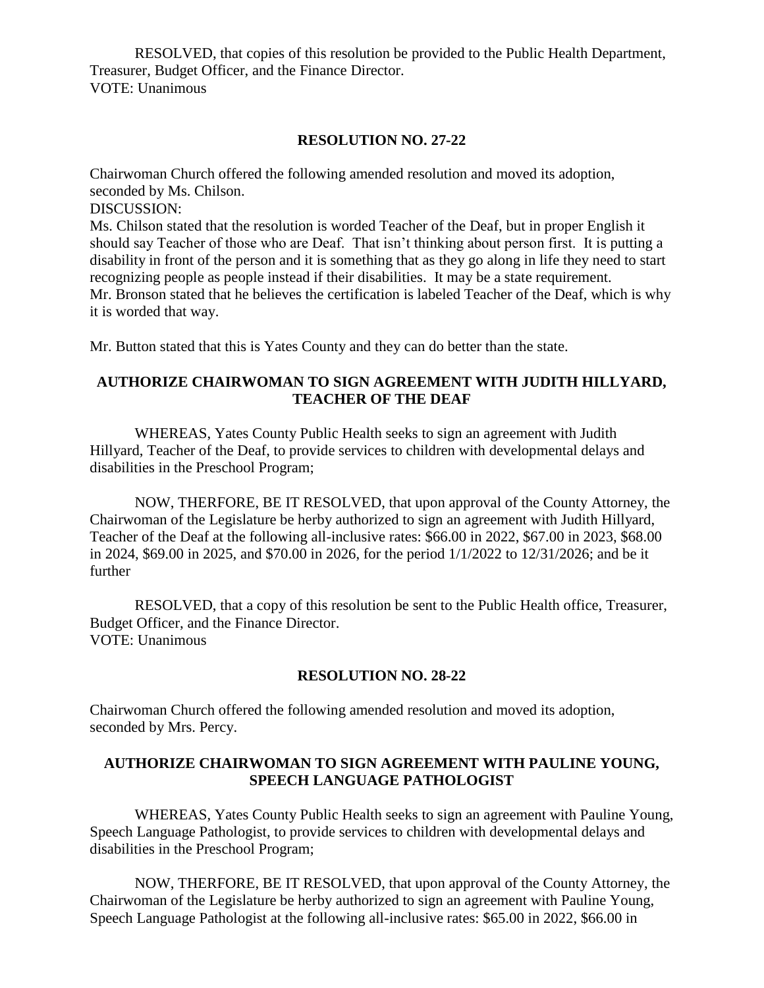RESOLVED, that copies of this resolution be provided to the Public Health Department, Treasurer, Budget Officer, and the Finance Director. VOTE: Unanimous

#### **RESOLUTION NO. 27-22**

Chairwoman Church offered the following amended resolution and moved its adoption, seconded by Ms. Chilson. DISCUSSION: Ms. Chilson stated that the resolution is worded Teacher of the Deaf, but in proper English it should say Teacher of those who are Deaf. That isn't thinking about person first. It is putting a

disability in front of the person and it is something that as they go along in life they need to start recognizing people as people instead if their disabilities. It may be a state requirement. Mr. Bronson stated that he believes the certification is labeled Teacher of the Deaf, which is why it is worded that way.

Mr. Button stated that this is Yates County and they can do better than the state.

# **AUTHORIZE CHAIRWOMAN TO SIGN AGREEMENT WITH JUDITH HILLYARD, TEACHER OF THE DEAF**

WHEREAS, Yates County Public Health seeks to sign an agreement with Judith Hillyard, Teacher of the Deaf, to provide services to children with developmental delays and disabilities in the Preschool Program;

NOW, THERFORE, BE IT RESOLVED, that upon approval of the County Attorney, the Chairwoman of the Legislature be herby authorized to sign an agreement with Judith Hillyard, Teacher of the Deaf at the following all-inclusive rates: \$66.00 in 2022, \$67.00 in 2023, \$68.00 in 2024, \$69.00 in 2025, and \$70.00 in 2026, for the period 1/1/2022 to 12/31/2026; and be it further

RESOLVED, that a copy of this resolution be sent to the Public Health office, Treasurer, Budget Officer, and the Finance Director. VOTE: Unanimous

### **RESOLUTION NO. 28-22**

Chairwoman Church offered the following amended resolution and moved its adoption, seconded by Mrs. Percy.

# **AUTHORIZE CHAIRWOMAN TO SIGN AGREEMENT WITH PAULINE YOUNG, SPEECH LANGUAGE PATHOLOGIST**

WHEREAS, Yates County Public Health seeks to sign an agreement with Pauline Young, Speech Language Pathologist, to provide services to children with developmental delays and disabilities in the Preschool Program;

NOW, THERFORE, BE IT RESOLVED, that upon approval of the County Attorney, the Chairwoman of the Legislature be herby authorized to sign an agreement with Pauline Young, Speech Language Pathologist at the following all-inclusive rates: \$65.00 in 2022, \$66.00 in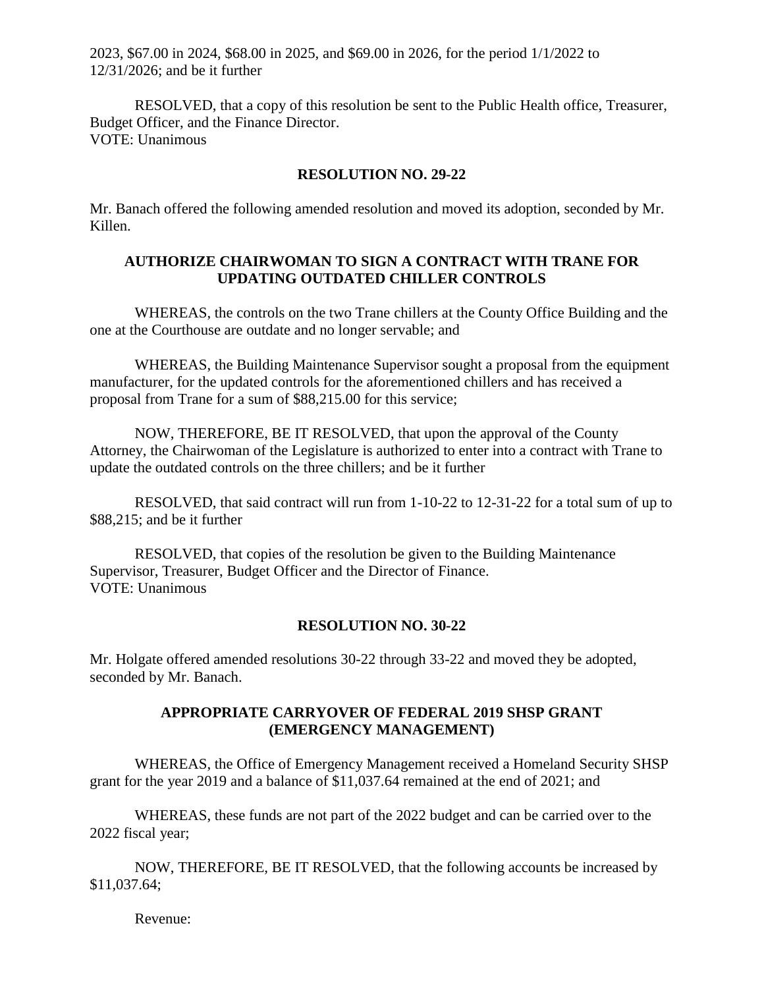2023, \$67.00 in 2024, \$68.00 in 2025, and \$69.00 in 2026, for the period 1/1/2022 to 12/31/2026; and be it further

RESOLVED, that a copy of this resolution be sent to the Public Health office, Treasurer, Budget Officer, and the Finance Director. VOTE: Unanimous

#### **RESOLUTION NO. 29-22**

Mr. Banach offered the following amended resolution and moved its adoption, seconded by Mr. Killen.

### **AUTHORIZE CHAIRWOMAN TO SIGN A CONTRACT WITH TRANE FOR UPDATING OUTDATED CHILLER CONTROLS**

WHEREAS, the controls on the two Trane chillers at the County Office Building and the one at the Courthouse are outdate and no longer servable; and

WHEREAS, the Building Maintenance Supervisor sought a proposal from the equipment manufacturer, for the updated controls for the aforementioned chillers and has received a proposal from Trane for a sum of \$88,215.00 for this service;

NOW, THEREFORE, BE IT RESOLVED, that upon the approval of the County Attorney, the Chairwoman of the Legislature is authorized to enter into a contract with Trane to update the outdated controls on the three chillers; and be it further

RESOLVED, that said contract will run from 1-10-22 to 12-31-22 for a total sum of up to \$88,215; and be it further

RESOLVED, that copies of the resolution be given to the Building Maintenance Supervisor, Treasurer, Budget Officer and the Director of Finance. VOTE: Unanimous

#### **RESOLUTION NO. 30-22**

Mr. Holgate offered amended resolutions 30-22 through 33-22 and moved they be adopted, seconded by Mr. Banach.

### **APPROPRIATE CARRYOVER OF FEDERAL 2019 SHSP GRANT (EMERGENCY MANAGEMENT)**

WHEREAS, the Office of Emergency Management received a Homeland Security SHSP grant for the year 2019 and a balance of \$11,037.64 remained at the end of 2021; and

WHEREAS, these funds are not part of the 2022 budget and can be carried over to the 2022 fiscal year;

NOW, THEREFORE, BE IT RESOLVED, that the following accounts be increased by \$11,037.64;

Revenue: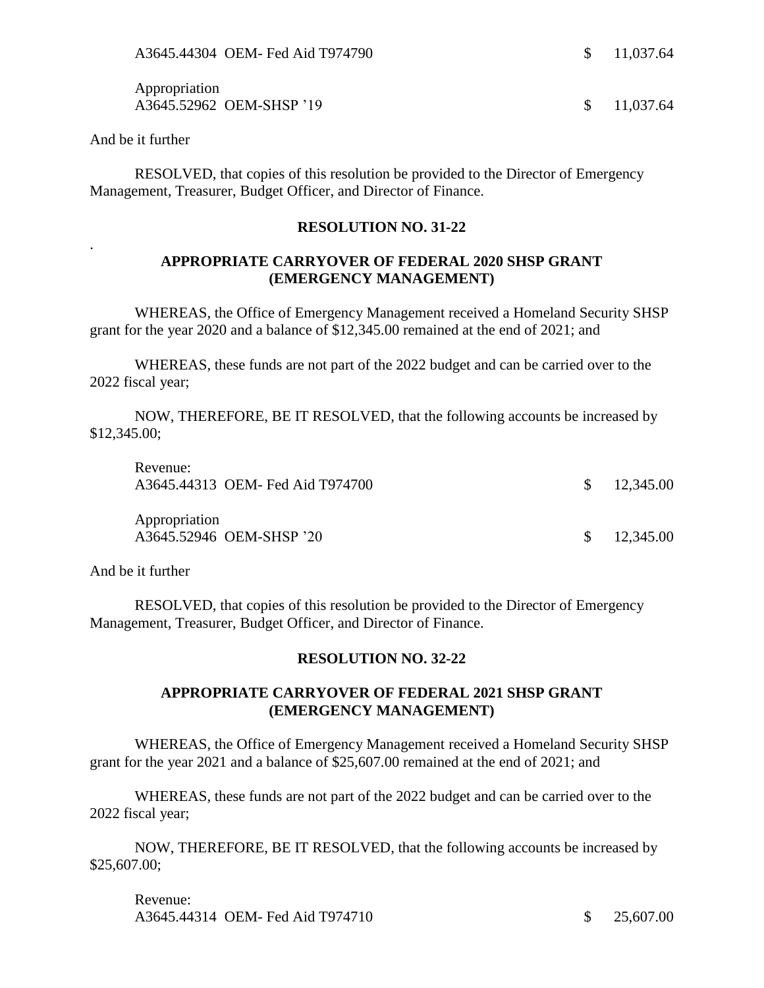Appropriation A3645.52962 OEM-SHSP '19 \$ 11,037.64

And be it further

.

RESOLVED, that copies of this resolution be provided to the Director of Emergency Management, Treasurer, Budget Officer, and Director of Finance.

#### **RESOLUTION NO. 31-22**

### **APPROPRIATE CARRYOVER OF FEDERAL 2020 SHSP GRANT (EMERGENCY MANAGEMENT)**

WHEREAS, the Office of Emergency Management received a Homeland Security SHSP grant for the year 2020 and a balance of \$12,345.00 remained at the end of 2021; and

WHEREAS, these funds are not part of the 2022 budget and can be carried over to the 2022 fiscal year;

NOW, THEREFORE, BE IT RESOLVED, that the following accounts be increased by \$12,345.00;

| Revenue:      | A3645.44313 OEM- Fed Aid T974700 | $\frac{\$}{12,345.00}$ |
|---------------|----------------------------------|------------------------|
| Appropriation | A3645.52946 OEM-SHSP '20         | $\frac{\$}{12,345.00}$ |

And be it further

RESOLVED, that copies of this resolution be provided to the Director of Emergency Management, Treasurer, Budget Officer, and Director of Finance.

### **RESOLUTION NO. 32-22**

# **APPROPRIATE CARRYOVER OF FEDERAL 2021 SHSP GRANT (EMERGENCY MANAGEMENT)**

WHEREAS, the Office of Emergency Management received a Homeland Security SHSP grant for the year 2021 and a balance of \$25,607.00 remained at the end of 2021; and

WHEREAS, these funds are not part of the 2022 budget and can be carried over to the 2022 fiscal year;

NOW, THEREFORE, BE IT RESOLVED, that the following accounts be increased by \$25,607.00;

Revenue: A3645.44314 OEM- Fed Aid T974710 \$ 25,607.00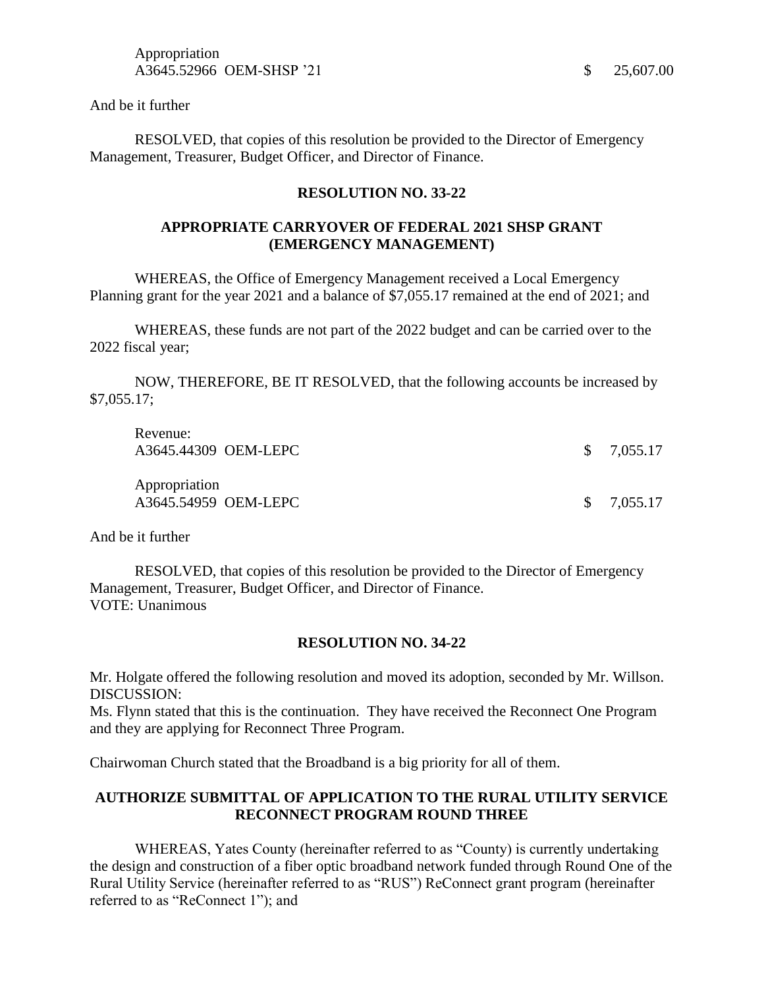And be it further

RESOLVED, that copies of this resolution be provided to the Director of Emergency Management, Treasurer, Budget Officer, and Director of Finance.

#### **RESOLUTION NO. 33-22**

# **APPROPRIATE CARRYOVER OF FEDERAL 2021 SHSP GRANT (EMERGENCY MANAGEMENT)**

WHEREAS, the Office of Emergency Management received a Local Emergency Planning grant for the year 2021 and a balance of \$7,055.17 remained at the end of 2021; and

WHEREAS, these funds are not part of the 2022 budget and can be carried over to the 2022 fiscal year;

NOW, THEREFORE, BE IT RESOLVED, that the following accounts be increased by \$7,055.17;

| Revenue:<br>A3645.44309 OEM-LEPC      | $\frac{\$}{0.055.17}$ |
|---------------------------------------|-----------------------|
| Appropriation<br>A3645.54959 OEM-LEPC | $\frac{\$}{0.055.17}$ |

And be it further

RESOLVED, that copies of this resolution be provided to the Director of Emergency Management, Treasurer, Budget Officer, and Director of Finance. VOTE: Unanimous

#### **RESOLUTION NO. 34-22**

Mr. Holgate offered the following resolution and moved its adoption, seconded by Mr. Willson. DISCUSSION:

Ms. Flynn stated that this is the continuation. They have received the Reconnect One Program and they are applying for Reconnect Three Program.

Chairwoman Church stated that the Broadband is a big priority for all of them.

## **AUTHORIZE SUBMITTAL OF APPLICATION TO THE RURAL UTILITY SERVICE RECONNECT PROGRAM ROUND THREE**

WHEREAS, Yates County (hereinafter referred to as "County) is currently undertaking the design and construction of a fiber optic broadband network funded through Round One of the Rural Utility Service (hereinafter referred to as "RUS") ReConnect grant program (hereinafter referred to as "ReConnect 1"); and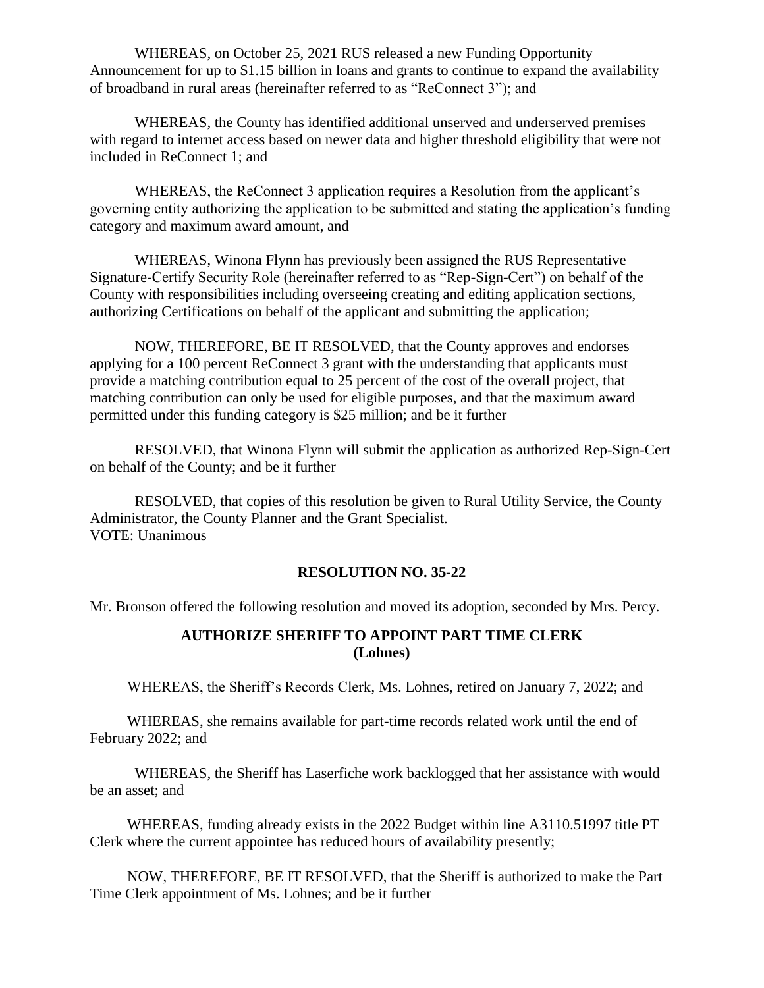WHEREAS, on October 25, 2021 RUS released a new Funding Opportunity Announcement for up to \$1.15 billion in loans and grants to continue to expand the availability of broadband in rural areas (hereinafter referred to as "ReConnect 3"); and

WHEREAS, the County has identified additional unserved and underserved premises with regard to internet access based on newer data and higher threshold eligibility that were not included in ReConnect 1; and

WHEREAS, the ReConnect 3 application requires a Resolution from the applicant's governing entity authorizing the application to be submitted and stating the application's funding category and maximum award amount, and

WHEREAS, Winona Flynn has previously been assigned the RUS Representative Signature-Certify Security Role (hereinafter referred to as "Rep-Sign-Cert") on behalf of the County with responsibilities including overseeing creating and editing application sections, authorizing Certifications on behalf of the applicant and submitting the application;

NOW, THEREFORE, BE IT RESOLVED, that the County approves and endorses applying for a 100 percent ReConnect 3 grant with the understanding that applicants must provide a matching contribution equal to 25 percent of the cost of the overall project, that matching contribution can only be used for eligible purposes, and that the maximum award permitted under this funding category is \$25 million; and be it further

RESOLVED, that Winona Flynn will submit the application as authorized Rep-Sign-Cert on behalf of the County; and be it further

RESOLVED, that copies of this resolution be given to Rural Utility Service, the County Administrator, the County Planner and the Grant Specialist. VOTE: Unanimous

#### **RESOLUTION NO. 35-22**

Mr. Bronson offered the following resolution and moved its adoption, seconded by Mrs. Percy.

# **AUTHORIZE SHERIFF TO APPOINT PART TIME CLERK (Lohnes)**

WHEREAS, the Sheriff's Records Clerk, Ms. Lohnes, retired on January 7, 2022; and

 WHEREAS, she remains available for part-time records related work until the end of February 2022; and

WHEREAS, the Sheriff has Laserfiche work backlogged that her assistance with would be an asset; and

 WHEREAS, funding already exists in the 2022 Budget within line A3110.51997 title PT Clerk where the current appointee has reduced hours of availability presently;

 NOW, THEREFORE, BE IT RESOLVED, that the Sheriff is authorized to make the Part Time Clerk appointment of Ms. Lohnes; and be it further